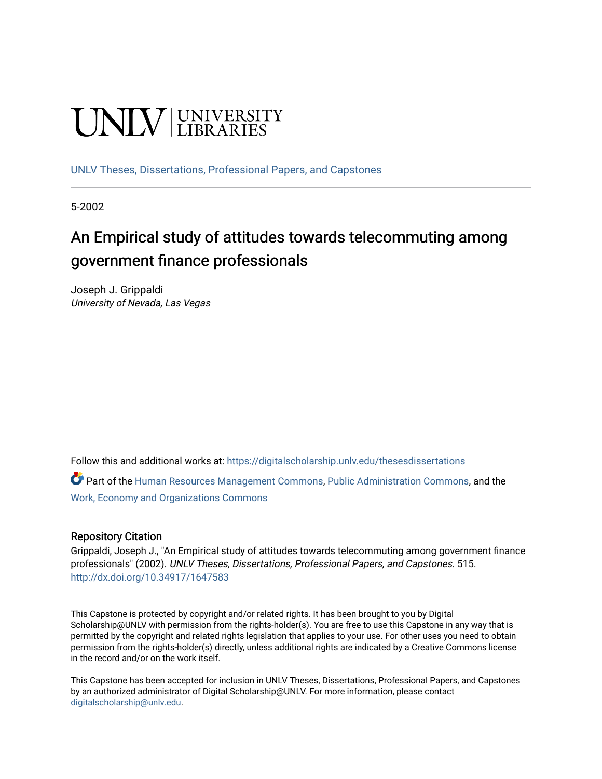# **UNIVERSITY**

[UNLV Theses, Dissertations, Professional Papers, and Capstones](https://digitalscholarship.unlv.edu/thesesdissertations)

5-2002

# An Empirical study of attitudes towards telecommuting among government finance professionals

Joseph J. Grippaldi University of Nevada, Las Vegas

Follow this and additional works at: [https://digitalscholarship.unlv.edu/thesesdissertations](https://digitalscholarship.unlv.edu/thesesdissertations?utm_source=digitalscholarship.unlv.edu%2Fthesesdissertations%2F515&utm_medium=PDF&utm_campaign=PDFCoverPages)

Part of the [Human Resources Management Commons,](http://network.bepress.com/hgg/discipline/633?utm_source=digitalscholarship.unlv.edu%2Fthesesdissertations%2F515&utm_medium=PDF&utm_campaign=PDFCoverPages) [Public Administration Commons](http://network.bepress.com/hgg/discipline/398?utm_source=digitalscholarship.unlv.edu%2Fthesesdissertations%2F515&utm_medium=PDF&utm_campaign=PDFCoverPages), and the [Work, Economy and Organizations Commons](http://network.bepress.com/hgg/discipline/433?utm_source=digitalscholarship.unlv.edu%2Fthesesdissertations%2F515&utm_medium=PDF&utm_campaign=PDFCoverPages)

## Repository Citation

Grippaldi, Joseph J., "An Empirical study of attitudes towards telecommuting among government finance professionals" (2002). UNLV Theses, Dissertations, Professional Papers, and Capstones. 515. <http://dx.doi.org/10.34917/1647583>

This Capstone is protected by copyright and/or related rights. It has been brought to you by Digital Scholarship@UNLV with permission from the rights-holder(s). You are free to use this Capstone in any way that is permitted by the copyright and related rights legislation that applies to your use. For other uses you need to obtain permission from the rights-holder(s) directly, unless additional rights are indicated by a Creative Commons license in the record and/or on the work itself.

This Capstone has been accepted for inclusion in UNLV Theses, Dissertations, Professional Papers, and Capstones by an authorized administrator of Digital Scholarship@UNLV. For more information, please contact [digitalscholarship@unlv.edu](mailto:digitalscholarship@unlv.edu).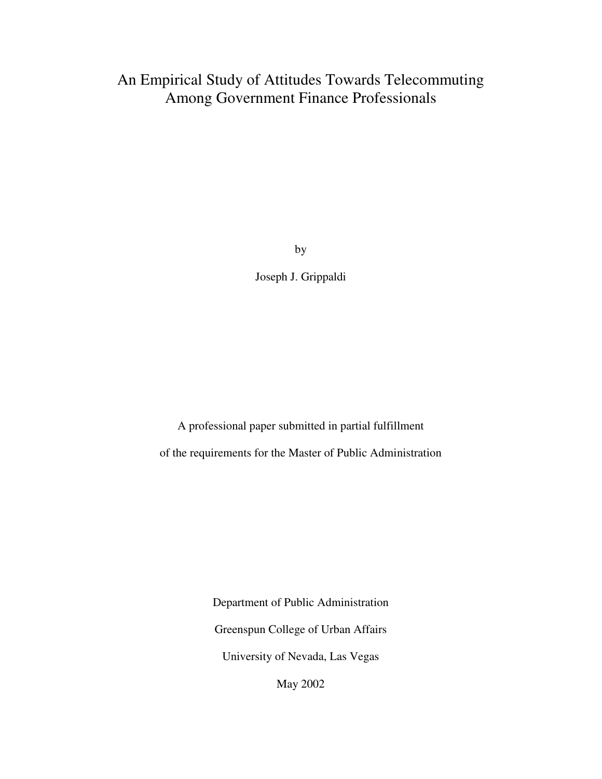# An Empirical Study of Attitudes Towards Telecommuting Among Government Finance Professionals

by

Joseph J. Grippaldi

A professional paper submitted in partial fulfillment of the requirements for the Master of Public Administration

> Department of Public Administration Greenspun College of Urban Affairs University of Nevada, Las Vegas

May 2002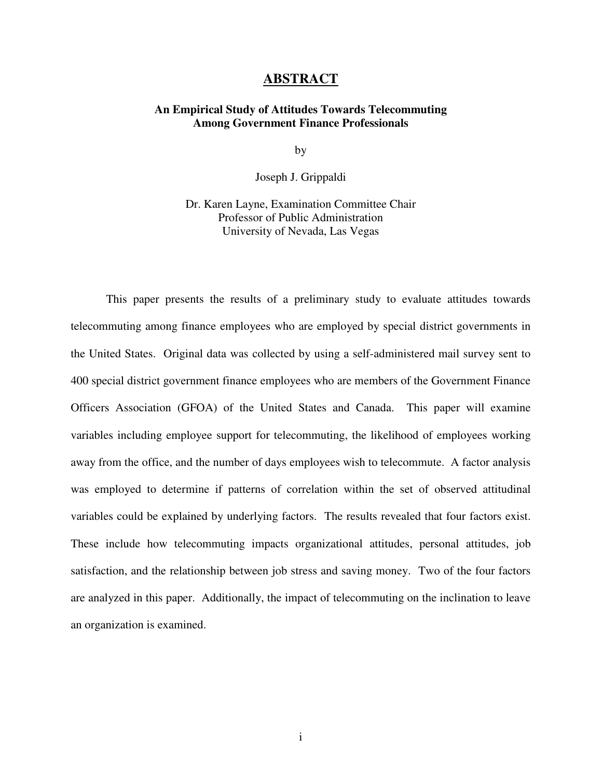# **ABSTRACT**

#### **An Empirical Study of Attitudes Towards Telecommuting Among Government Finance Professionals**

by

Joseph J. Grippaldi

Dr. Karen Layne, Examination Committee Chair Professor of Public Administration University of Nevada, Las Vegas

This paper presents the results of a preliminary study to evaluate attitudes towards telecommuting among finance employees who are employed by special district governments in the United States. Original data was collected by using a self-administered mail survey sent to 400 special district government finance employees who are members of the Government Finance Officers Association (GFOA) of the United States and Canada. This paper will examine variables including employee support for telecommuting, the likelihood of employees working away from the office, and the number of days employees wish to telecommute. A factor analysis was employed to determine if patterns of correlation within the set of observed attitudinal variables could be explained by underlying factors. The results revealed that four factors exist. These include how telecommuting impacts organizational attitudes, personal attitudes, job satisfaction, and the relationship between job stress and saving money. Two of the four factors are analyzed in this paper. Additionally, the impact of telecommuting on the inclination to leave an organization is examined.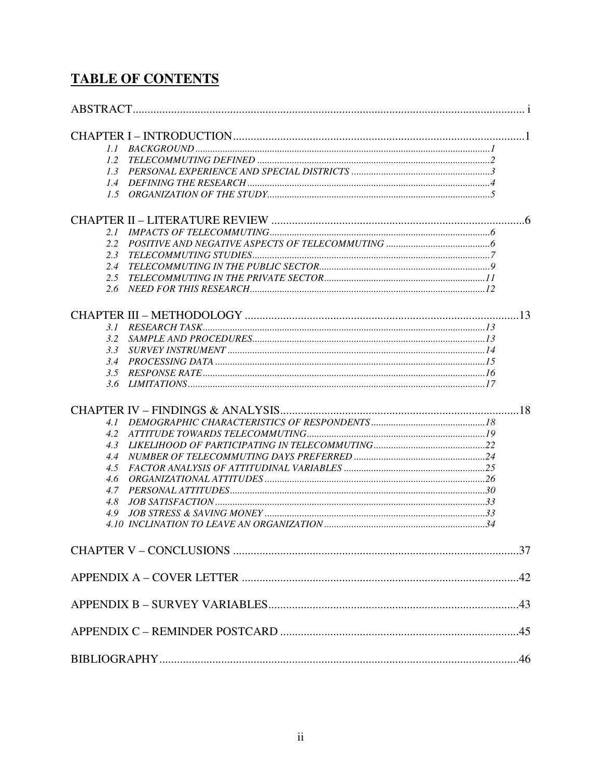# **TABLE OF CONTENTS**

| 1.1           |  |
|---------------|--|
| 1.2           |  |
| 1.3           |  |
| 1.4           |  |
| $1.5^{\circ}$ |  |
|               |  |
| 2.1           |  |
| 2.2           |  |
| 2.3           |  |
| 2.4           |  |
| 2.5           |  |
| 2.6           |  |
|               |  |
|               |  |
| 3.1<br>3.2    |  |
| 3.3           |  |
| $3.4^{\circ}$ |  |
|               |  |
| 3.5           |  |
|               |  |
|               |  |
| 4.1           |  |
| 4.2           |  |
| 4.3           |  |
| 4.4           |  |
| 4.5           |  |
| 4.6           |  |
| 4.7           |  |
| 4.8           |  |
| 4.9           |  |
|               |  |
|               |  |
|               |  |
|               |  |
|               |  |
|               |  |
|               |  |
|               |  |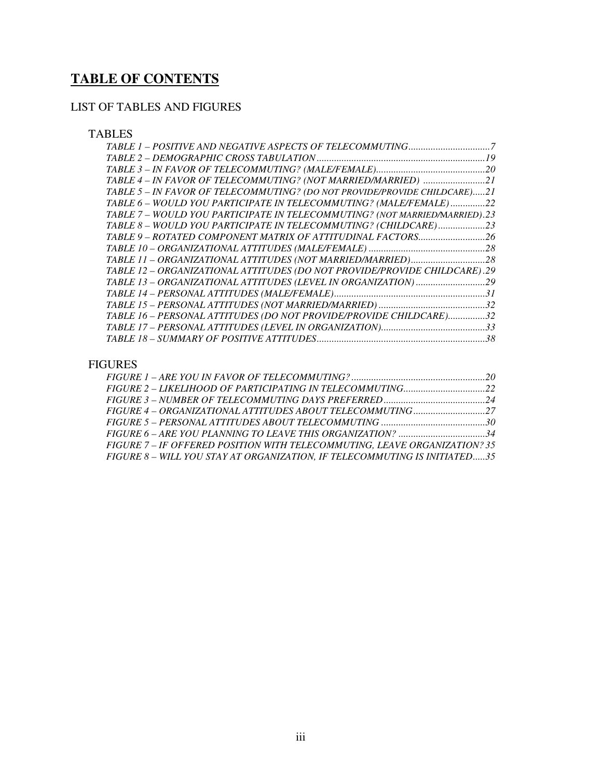# **TABLE OF CONTENTS**

# LIST OF TABLES AND FIGURES

# TABLES

| TABLE 4 - IN FAVOR OF TELECOMMUTING? (NOT MARRIED/MARRIED) 21              |
|----------------------------------------------------------------------------|
| TABLE 5 - IN FAVOR OF TELECOMMUTING? (DO NOT PROVIDE/PROVIDE CHILDCARE)21  |
| TABLE 6 - WOULD YOU PARTICIPATE IN TELECOMMUTING? (MALE/FEMALE)22          |
| TABLE 7 - WOULD YOU PARTICIPATE IN TELECOMMUTING? (NOT MARRIED/MARRIED).23 |
| TABLE 8 - WOULD YOU PARTICIPATE IN TELECOMMUTING? (CHILDCARE)23            |
|                                                                            |
|                                                                            |
|                                                                            |
| TABLE 12 - ORGANIZATIONAL ATTITUDES (DO NOT PROVIDE/PROVIDE CHILDCARE).29  |
|                                                                            |
|                                                                            |
|                                                                            |
| TABLE 16 - PERSONAL ATTITUDES (DO NOT PROVIDE/PROVIDE CHILDCARE)32         |
|                                                                            |
|                                                                            |

# FIGURES

| FIGURE 6 – ARE YOU PLANNING TO LEAVE THIS ORGANIZATION? 34                |  |
|---------------------------------------------------------------------------|--|
| FIGURE 7 - IF OFFERED POSITION WITH TELECOMMUTING. LEAVE ORGANIZATION? 35 |  |
| FIGURE 8 - WILL YOU STAY AT ORGANIZATION, IF TELECOMMUTING IS INITIATED35 |  |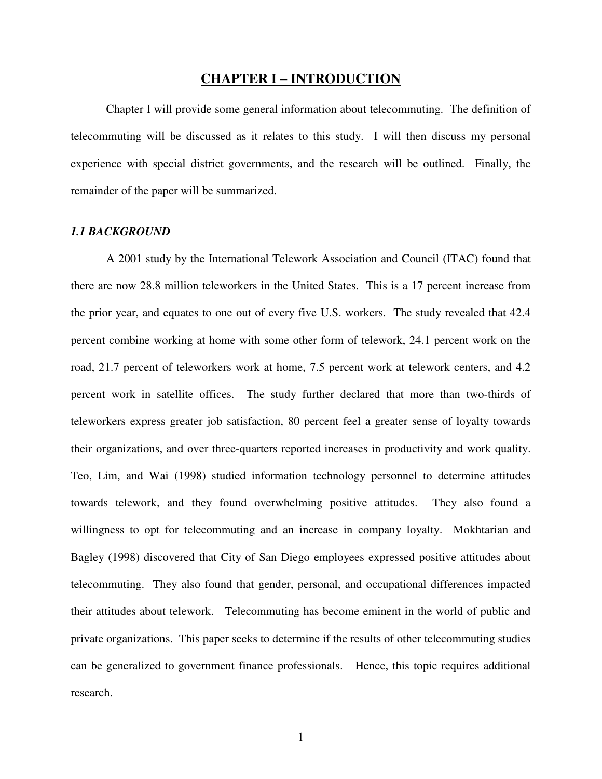# **CHAPTER I – INTRODUCTION**

Chapter I will provide some general information about telecommuting. The definition of telecommuting will be discussed as it relates to this study. I will then discuss my personal experience with special district governments, and the research will be outlined. Finally, the remainder of the paper will be summarized.

#### *1.1 BACKGROUND*

A 2001 study by the International Telework Association and Council (ITAC) found that there are now 28.8 million teleworkers in the United States. This is a 17 percent increase from the prior year, and equates to one out of every five U.S. workers. The study revealed that 42.4 percent combine working at home with some other form of telework, 24.1 percent work on the road, 21.7 percent of teleworkers work at home, 7.5 percent work at telework centers, and 4.2 percent work in satellite offices. The study further declared that more than two-thirds of teleworkers express greater job satisfaction, 80 percent feel a greater sense of loyalty towards their organizations, and over three-quarters reported increases in productivity and work quality. Teo, Lim, and Wai (1998) studied information technology personnel to determine attitudes towards telework, and they found overwhelming positive attitudes. They also found a willingness to opt for telecommuting and an increase in company loyalty. Mokhtarian and Bagley (1998) discovered that City of San Diego employees expressed positive attitudes about telecommuting. They also found that gender, personal, and occupational differences impacted their attitudes about telework. Telecommuting has become eminent in the world of public and private organizations. This paper seeks to determine if the results of other telecommuting studies can be generalized to government finance professionals. Hence, this topic requires additional research.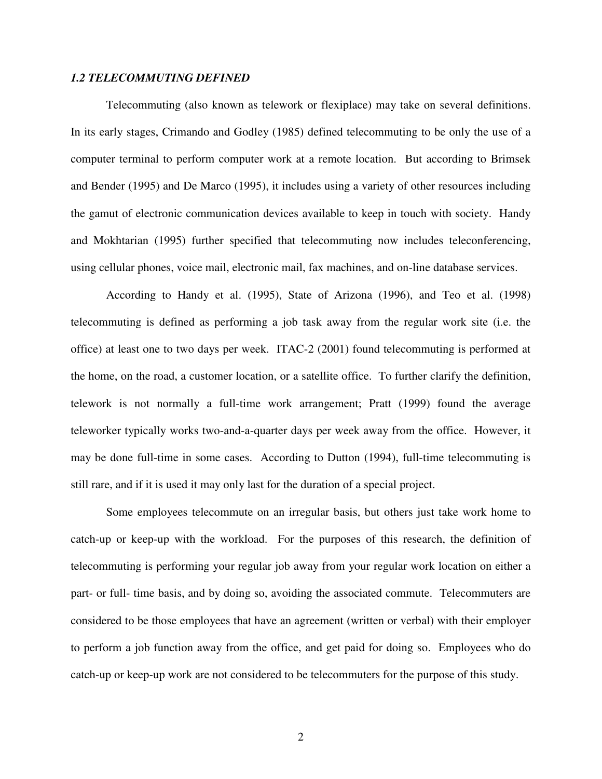#### *1.2 TELECOMMUTING DEFINED*

Telecommuting (also known as telework or flexiplace) may take on several definitions. In its early stages, Crimando and Godley (1985) defined telecommuting to be only the use of a computer terminal to perform computer work at a remote location. But according to Brimsek and Bender (1995) and De Marco (1995), it includes using a variety of other resources including the gamut of electronic communication devices available to keep in touch with society. Handy and Mokhtarian (1995) further specified that telecommuting now includes teleconferencing, using cellular phones, voice mail, electronic mail, fax machines, and on-line database services.

According to Handy et al. (1995), State of Arizona (1996), and Teo et al. (1998) telecommuting is defined as performing a job task away from the regular work site (i.e. the office) at least one to two days per week. ITAC-2 (2001) found telecommuting is performed at the home, on the road, a customer location, or a satellite office. To further clarify the definition, telework is not normally a full-time work arrangement; Pratt (1999) found the average teleworker typically works two-and-a-quarter days per week away from the office. However, it may be done full-time in some cases. According to Dutton (1994), full-time telecommuting is still rare, and if it is used it may only last for the duration of a special project.

Some employees telecommute on an irregular basis, but others just take work home to catch-up or keep-up with the workload. For the purposes of this research, the definition of telecommuting is performing your regular job away from your regular work location on either a part- or full- time basis, and by doing so, avoiding the associated commute. Telecommuters are considered to be those employees that have an agreement (written or verbal) with their employer to perform a job function away from the office, and get paid for doing so. Employees who do catch-up or keep-up work are not considered to be telecommuters for the purpose of this study.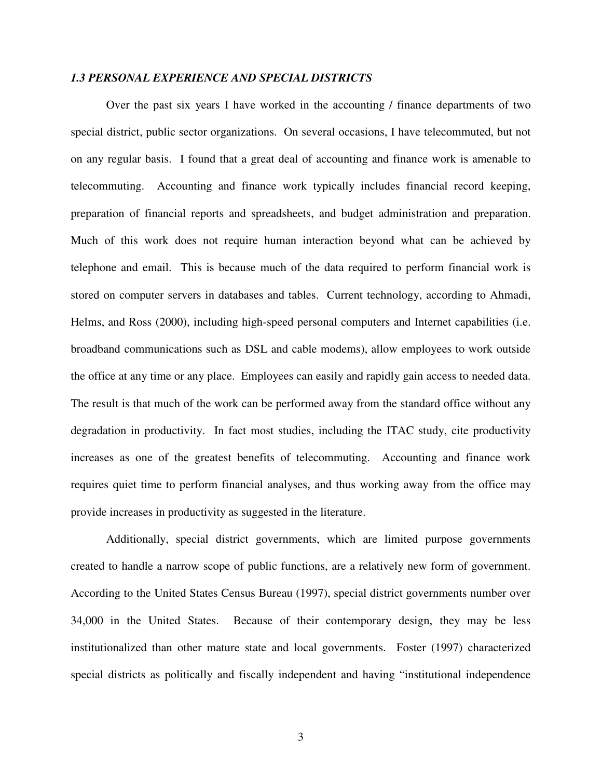#### *1.3 PERSONAL EXPERIENCE AND SPECIAL DISTRICTS*

Over the past six years I have worked in the accounting / finance departments of two special district, public sector organizations. On several occasions, I have telecommuted, but not on any regular basis. I found that a great deal of accounting and finance work is amenable to telecommuting. Accounting and finance work typically includes financial record keeping, preparation of financial reports and spreadsheets, and budget administration and preparation. Much of this work does not require human interaction beyond what can be achieved by telephone and email. This is because much of the data required to perform financial work is stored on computer servers in databases and tables. Current technology, according to Ahmadi, Helms, and Ross (2000), including high-speed personal computers and Internet capabilities (i.e. broadband communications such as DSL and cable modems), allow employees to work outside the office at any time or any place. Employees can easily and rapidly gain access to needed data. The result is that much of the work can be performed away from the standard office without any degradation in productivity. In fact most studies, including the ITAC study, cite productivity increases as one of the greatest benefits of telecommuting. Accounting and finance work requires quiet time to perform financial analyses, and thus working away from the office may provide increases in productivity as suggested in the literature.

Additionally, special district governments, which are limited purpose governments created to handle a narrow scope of public functions, are a relatively new form of government. According to the United States Census Bureau (1997), special district governments number over 34,000 in the United States. Because of their contemporary design, they may be less institutionalized than other mature state and local governments. Foster (1997) characterized special districts as politically and fiscally independent and having "institutional independence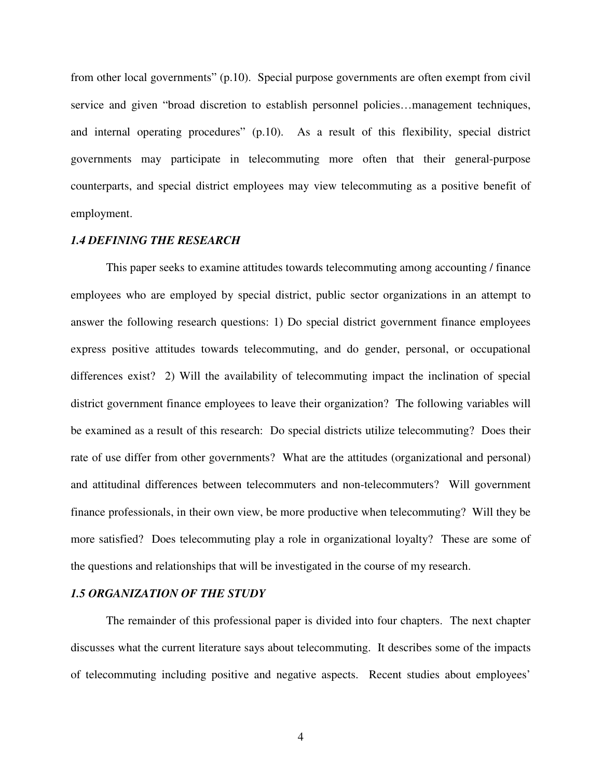from other local governments" (p.10). Special purpose governments are often exempt from civil service and given "broad discretion to establish personnel policies…management techniques, and internal operating procedures" (p.10). As a result of this flexibility, special district governments may participate in telecommuting more often that their general-purpose counterparts, and special district employees may view telecommuting as a positive benefit of employment.

#### *1.4 DEFINING THE RESEARCH*

This paper seeks to examine attitudes towards telecommuting among accounting / finance employees who are employed by special district, public sector organizations in an attempt to answer the following research questions: 1) Do special district government finance employees express positive attitudes towards telecommuting, and do gender, personal, or occupational differences exist? 2) Will the availability of telecommuting impact the inclination of special district government finance employees to leave their organization? The following variables will be examined as a result of this research: Do special districts utilize telecommuting? Does their rate of use differ from other governments? What are the attitudes (organizational and personal) and attitudinal differences between telecommuters and non-telecommuters? Will government finance professionals, in their own view, be more productive when telecommuting? Will they be more satisfied? Does telecommuting play a role in organizational loyalty? These are some of the questions and relationships that will be investigated in the course of my research.

#### *1.5 ORGANIZATION OF THE STUDY*

 The remainder of this professional paper is divided into four chapters. The next chapter discusses what the current literature says about telecommuting. It describes some of the impacts of telecommuting including positive and negative aspects. Recent studies about employees'

4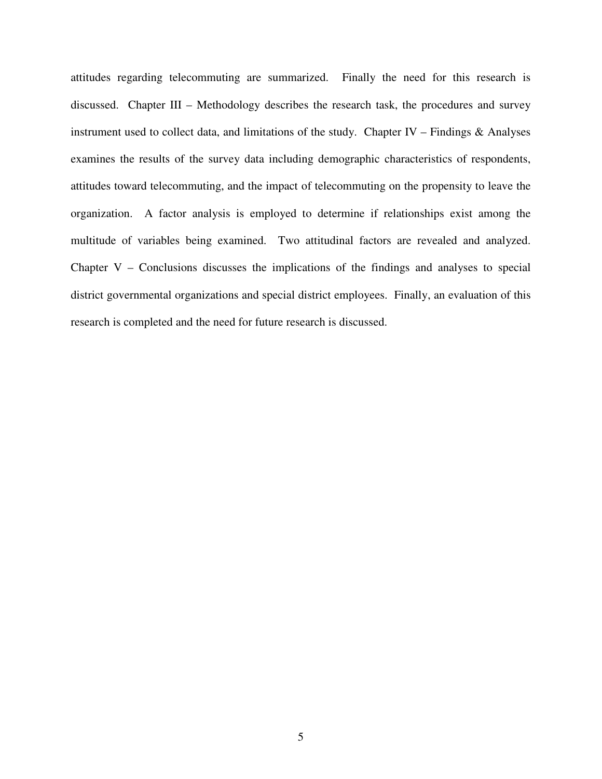attitudes regarding telecommuting are summarized. Finally the need for this research is discussed. Chapter III – Methodology describes the research task, the procedures and survey instrument used to collect data, and limitations of the study. Chapter IV – Findings  $\&$  Analyses examines the results of the survey data including demographic characteristics of respondents, attitudes toward telecommuting, and the impact of telecommuting on the propensity to leave the organization. A factor analysis is employed to determine if relationships exist among the multitude of variables being examined. Two attitudinal factors are revealed and analyzed. Chapter V – Conclusions discusses the implications of the findings and analyses to special district governmental organizations and special district employees. Finally, an evaluation of this research is completed and the need for future research is discussed.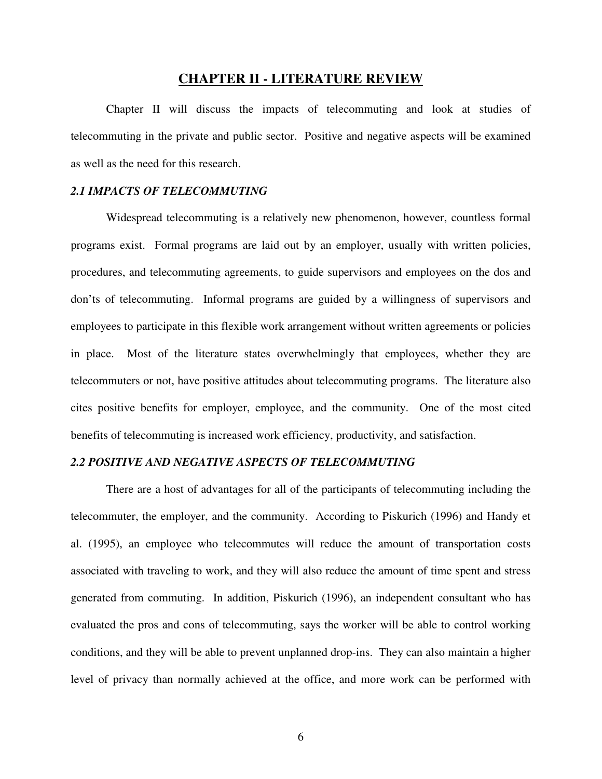# **CHAPTER II - LITERATURE REVIEW**

Chapter II will discuss the impacts of telecommuting and look at studies of telecommuting in the private and public sector. Positive and negative aspects will be examined as well as the need for this research.

#### *2.1 IMPACTS OF TELECOMMUTING*

Widespread telecommuting is a relatively new phenomenon, however, countless formal programs exist. Formal programs are laid out by an employer, usually with written policies, procedures, and telecommuting agreements, to guide supervisors and employees on the dos and don'ts of telecommuting. Informal programs are guided by a willingness of supervisors and employees to participate in this flexible work arrangement without written agreements or policies in place. Most of the literature states overwhelmingly that employees, whether they are telecommuters or not, have positive attitudes about telecommuting programs. The literature also cites positive benefits for employer, employee, and the community. One of the most cited benefits of telecommuting is increased work efficiency, productivity, and satisfaction.

## *2.2 POSITIVE AND NEGATIVE ASPECTS OF TELECOMMUTING*

There are a host of advantages for all of the participants of telecommuting including the telecommuter, the employer, and the community. According to Piskurich (1996) and Handy et al. (1995), an employee who telecommutes will reduce the amount of transportation costs associated with traveling to work, and they will also reduce the amount of time spent and stress generated from commuting. In addition, Piskurich (1996), an independent consultant who has evaluated the pros and cons of telecommuting, says the worker will be able to control working conditions, and they will be able to prevent unplanned drop-ins. They can also maintain a higher level of privacy than normally achieved at the office, and more work can be performed with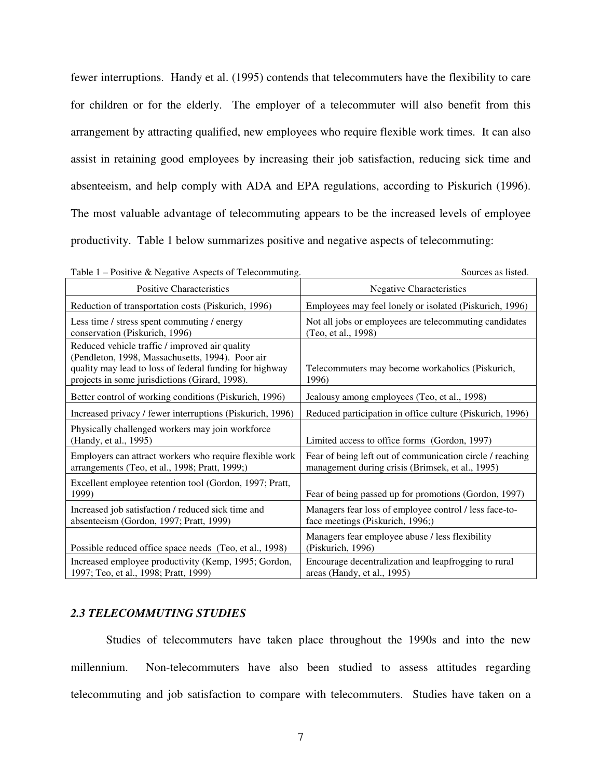fewer interruptions. Handy et al. (1995) contends that telecommuters have the flexibility to care for children or for the elderly. The employer of a telecommuter will also benefit from this arrangement by attracting qualified, new employees who require flexible work times. It can also assist in retaining good employees by increasing their job satisfaction, reducing sick time and absenteeism, and help comply with ADA and EPA regulations, according to Piskurich (1996). The most valuable advantage of telecommuting appears to be the increased levels of employee productivity. Table 1 below summarizes positive and negative aspects of telecommuting:

| Table 1 – Positive & Negative Aspects of Telecommuting.                                                                                                                                                         | Sources as listed.                                                                                            |
|-----------------------------------------------------------------------------------------------------------------------------------------------------------------------------------------------------------------|---------------------------------------------------------------------------------------------------------------|
| <b>Positive Characteristics</b>                                                                                                                                                                                 | <b>Negative Characteristics</b>                                                                               |
| Reduction of transportation costs (Piskurich, 1996)                                                                                                                                                             | Employees may feel lonely or isolated (Piskurich, 1996)                                                       |
| Less time / stress spent commuting / energy<br>conservation (Piskurich, 1996)                                                                                                                                   | Not all jobs or employees are telecommuting candidates<br>(Teo, et al., 1998)                                 |
| Reduced vehicle traffic / improved air quality<br>(Pendleton, 1998, Massachusetts, 1994). Poor air<br>quality may lead to loss of federal funding for highway<br>projects in some jurisdictions (Girard, 1998). | Telecommuters may become workaholics (Piskurich,<br>1996)                                                     |
| Better control of working conditions (Piskurich, 1996)                                                                                                                                                          | Jealousy among employees (Teo, et al., 1998)                                                                  |
| Increased privacy / fewer interruptions (Piskurich, 1996)                                                                                                                                                       | Reduced participation in office culture (Piskurich, 1996)                                                     |
| Physically challenged workers may join workforce<br>(Handy, et al., 1995)                                                                                                                                       | Limited access to office forms (Gordon, 1997)                                                                 |
| Employers can attract workers who require flexible work<br>arrangements (Teo, et al., 1998; Pratt, 1999;)                                                                                                       | Fear of being left out of communication circle / reaching<br>management during crisis (Brimsek, et al., 1995) |
| Excellent employee retention tool (Gordon, 1997; Pratt,<br>1999)                                                                                                                                                | Fear of being passed up for promotions (Gordon, 1997)                                                         |
| Increased job satisfaction / reduced sick time and<br>absenteeism (Gordon, 1997; Pratt, 1999)                                                                                                                   | Managers fear loss of employee control / less face-to-<br>face meetings (Piskurich, 1996;)                    |
| Possible reduced office space needs (Teo, et al., 1998)                                                                                                                                                         | Managers fear employee abuse / less flexibility<br>(Piskurich, 1996)                                          |
| Increased employee productivity (Kemp, 1995; Gordon,<br>1997; Teo, et al., 1998; Pratt, 1999)                                                                                                                   | Encourage decentralization and leapfrogging to rural<br>areas (Handy, et al., 1995)                           |

#### *2.3 TELECOMMUTING STUDIES*

Studies of telecommuters have taken place throughout the 1990s and into the new millennium. Non-telecommuters have also been studied to assess attitudes regarding telecommuting and job satisfaction to compare with telecommuters. Studies have taken on a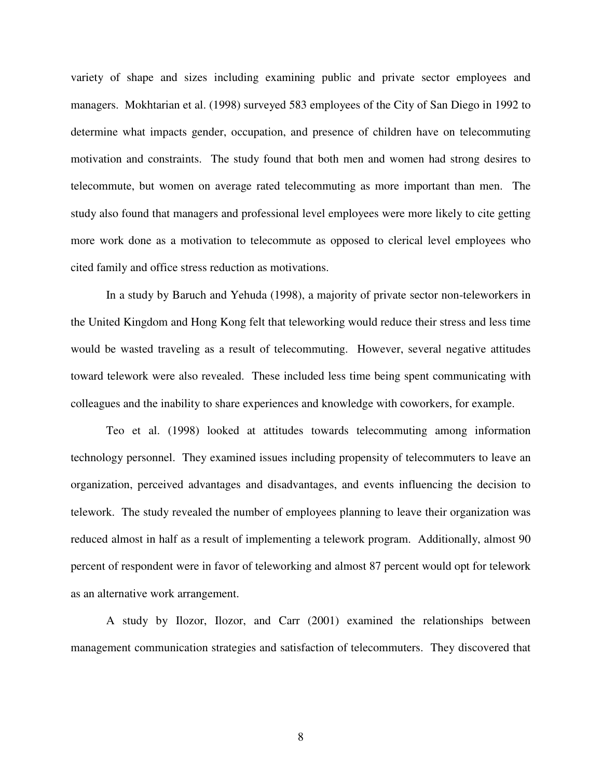variety of shape and sizes including examining public and private sector employees and managers. Mokhtarian et al. (1998) surveyed 583 employees of the City of San Diego in 1992 to determine what impacts gender, occupation, and presence of children have on telecommuting motivation and constraints. The study found that both men and women had strong desires to telecommute, but women on average rated telecommuting as more important than men. The study also found that managers and professional level employees were more likely to cite getting more work done as a motivation to telecommute as opposed to clerical level employees who cited family and office stress reduction as motivations.

In a study by Baruch and Yehuda (1998), a majority of private sector non-teleworkers in the United Kingdom and Hong Kong felt that teleworking would reduce their stress and less time would be wasted traveling as a result of telecommuting. However, several negative attitudes toward telework were also revealed. These included less time being spent communicating with colleagues and the inability to share experiences and knowledge with coworkers, for example.

Teo et al. (1998) looked at attitudes towards telecommuting among information technology personnel. They examined issues including propensity of telecommuters to leave an organization, perceived advantages and disadvantages, and events influencing the decision to telework. The study revealed the number of employees planning to leave their organization was reduced almost in half as a result of implementing a telework program. Additionally, almost 90 percent of respondent were in favor of teleworking and almost 87 percent would opt for telework as an alternative work arrangement.

A study by Ilozor, Ilozor, and Carr (2001) examined the relationships between management communication strategies and satisfaction of telecommuters. They discovered that

8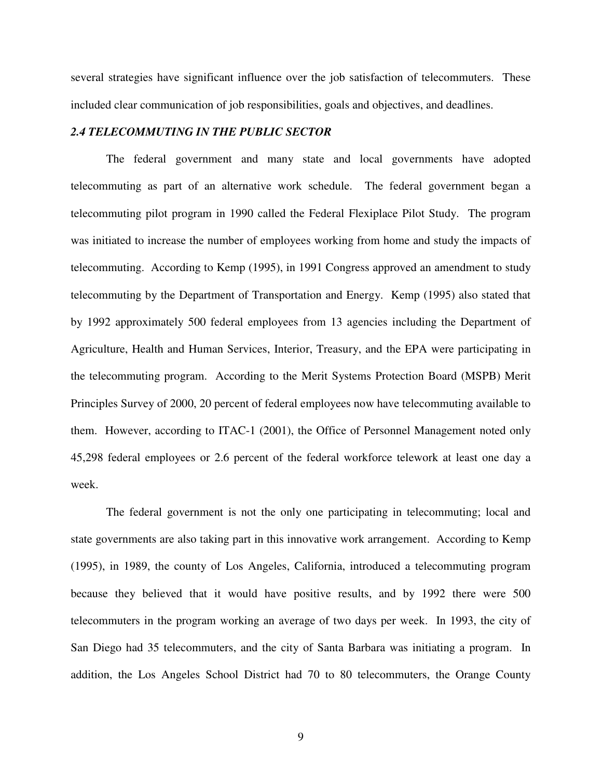several strategies have significant influence over the job satisfaction of telecommuters. These included clear communication of job responsibilities, goals and objectives, and deadlines.

#### *2.4 TELECOMMUTING IN THE PUBLIC SECTOR*

The federal government and many state and local governments have adopted telecommuting as part of an alternative work schedule. The federal government began a telecommuting pilot program in 1990 called the Federal Flexiplace Pilot Study. The program was initiated to increase the number of employees working from home and study the impacts of telecommuting. According to Kemp (1995), in 1991 Congress approved an amendment to study telecommuting by the Department of Transportation and Energy. Kemp (1995) also stated that by 1992 approximately 500 federal employees from 13 agencies including the Department of Agriculture, Health and Human Services, Interior, Treasury, and the EPA were participating in the telecommuting program. According to the Merit Systems Protection Board (MSPB) Merit Principles Survey of 2000, 20 percent of federal employees now have telecommuting available to them. However, according to ITAC-1 (2001), the Office of Personnel Management noted only 45,298 federal employees or 2.6 percent of the federal workforce telework at least one day a week.

The federal government is not the only one participating in telecommuting; local and state governments are also taking part in this innovative work arrangement. According to Kemp (1995), in 1989, the county of Los Angeles, California, introduced a telecommuting program because they believed that it would have positive results, and by 1992 there were 500 telecommuters in the program working an average of two days per week. In 1993, the city of San Diego had 35 telecommuters, and the city of Santa Barbara was initiating a program. In addition, the Los Angeles School District had 70 to 80 telecommuters, the Orange County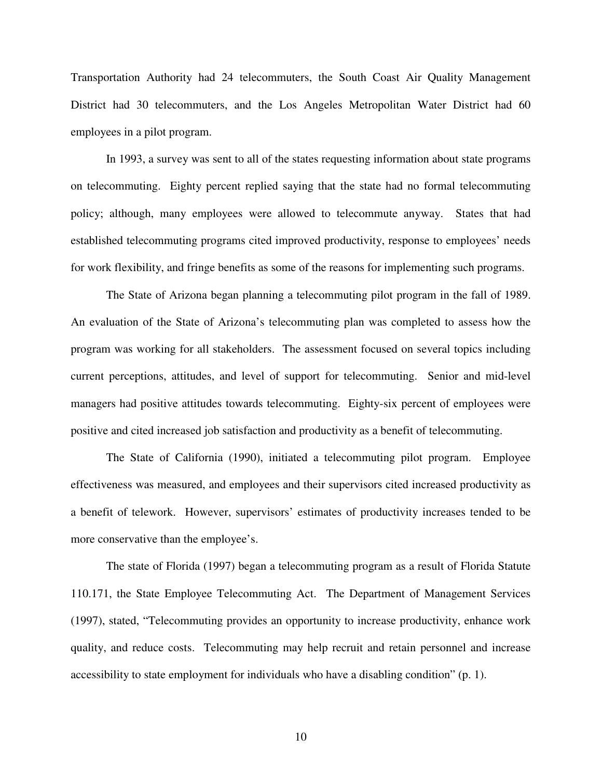Transportation Authority had 24 telecommuters, the South Coast Air Quality Management District had 30 telecommuters, and the Los Angeles Metropolitan Water District had 60 employees in a pilot program.

In 1993, a survey was sent to all of the states requesting information about state programs on telecommuting. Eighty percent replied saying that the state had no formal telecommuting policy; although, many employees were allowed to telecommute anyway. States that had established telecommuting programs cited improved productivity, response to employees' needs for work flexibility, and fringe benefits as some of the reasons for implementing such programs.

The State of Arizona began planning a telecommuting pilot program in the fall of 1989. An evaluation of the State of Arizona's telecommuting plan was completed to assess how the program was working for all stakeholders. The assessment focused on several topics including current perceptions, attitudes, and level of support for telecommuting. Senior and mid-level managers had positive attitudes towards telecommuting. Eighty-six percent of employees were positive and cited increased job satisfaction and productivity as a benefit of telecommuting.

The State of California (1990), initiated a telecommuting pilot program. Employee effectiveness was measured, and employees and their supervisors cited increased productivity as a benefit of telework. However, supervisors' estimates of productivity increases tended to be more conservative than the employee's.

The state of Florida (1997) began a telecommuting program as a result of Florida Statute 110.171, the State Employee Telecommuting Act. The Department of Management Services (1997), stated, "Telecommuting provides an opportunity to increase productivity, enhance work quality, and reduce costs. Telecommuting may help recruit and retain personnel and increase accessibility to state employment for individuals who have a disabling condition" (p. 1).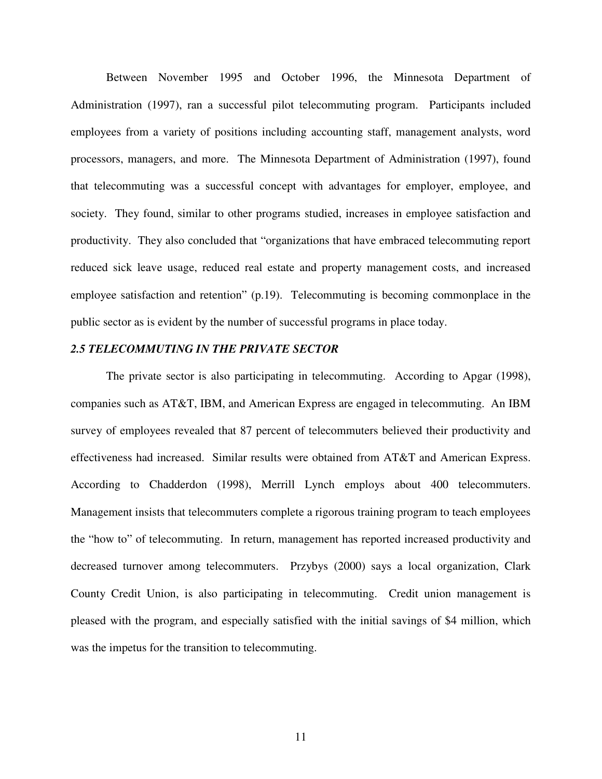Between November 1995 and October 1996, the Minnesota Department of Administration (1997), ran a successful pilot telecommuting program. Participants included employees from a variety of positions including accounting staff, management analysts, word processors, managers, and more. The Minnesota Department of Administration (1997), found that telecommuting was a successful concept with advantages for employer, employee, and society. They found, similar to other programs studied, increases in employee satisfaction and productivity. They also concluded that "organizations that have embraced telecommuting report reduced sick leave usage, reduced real estate and property management costs, and increased employee satisfaction and retention" (p.19). Telecommuting is becoming commonplace in the public sector as is evident by the number of successful programs in place today.

#### *2.5 TELECOMMUTING IN THE PRIVATE SECTOR*

The private sector is also participating in telecommuting. According to Apgar (1998), companies such as AT&T, IBM, and American Express are engaged in telecommuting. An IBM survey of employees revealed that 87 percent of telecommuters believed their productivity and effectiveness had increased. Similar results were obtained from AT&T and American Express. According to Chadderdon (1998), Merrill Lynch employs about 400 telecommuters. Management insists that telecommuters complete a rigorous training program to teach employees the "how to" of telecommuting. In return, management has reported increased productivity and decreased turnover among telecommuters. Przybys (2000) says a local organization, Clark County Credit Union, is also participating in telecommuting. Credit union management is pleased with the program, and especially satisfied with the initial savings of \$4 million, which was the impetus for the transition to telecommuting.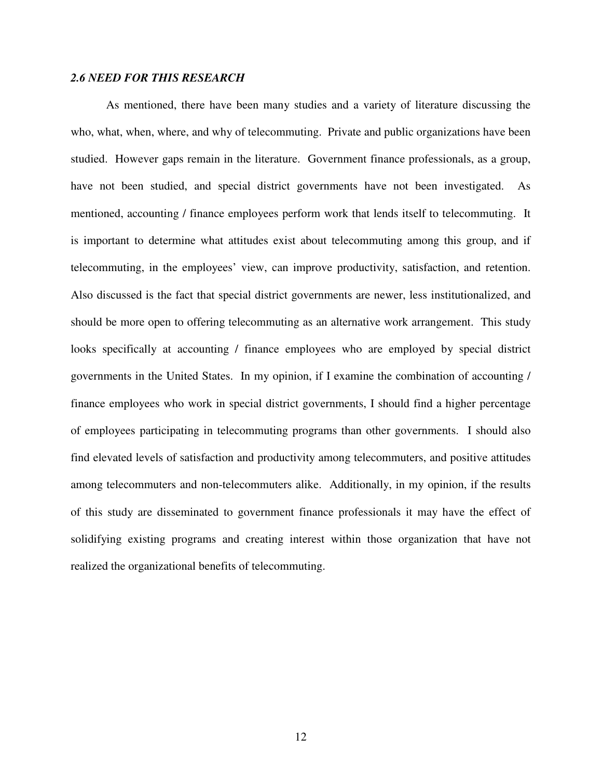## *2.6 NEED FOR THIS RESEARCH*

As mentioned, there have been many studies and a variety of literature discussing the who, what, when, where, and why of telecommuting. Private and public organizations have been studied. However gaps remain in the literature. Government finance professionals, as a group, have not been studied, and special district governments have not been investigated. As mentioned, accounting / finance employees perform work that lends itself to telecommuting. It is important to determine what attitudes exist about telecommuting among this group, and if telecommuting, in the employees' view, can improve productivity, satisfaction, and retention. Also discussed is the fact that special district governments are newer, less institutionalized, and should be more open to offering telecommuting as an alternative work arrangement. This study looks specifically at accounting / finance employees who are employed by special district governments in the United States. In my opinion, if I examine the combination of accounting / finance employees who work in special district governments, I should find a higher percentage of employees participating in telecommuting programs than other governments. I should also find elevated levels of satisfaction and productivity among telecommuters, and positive attitudes among telecommuters and non-telecommuters alike. Additionally, in my opinion, if the results of this study are disseminated to government finance professionals it may have the effect of solidifying existing programs and creating interest within those organization that have not realized the organizational benefits of telecommuting.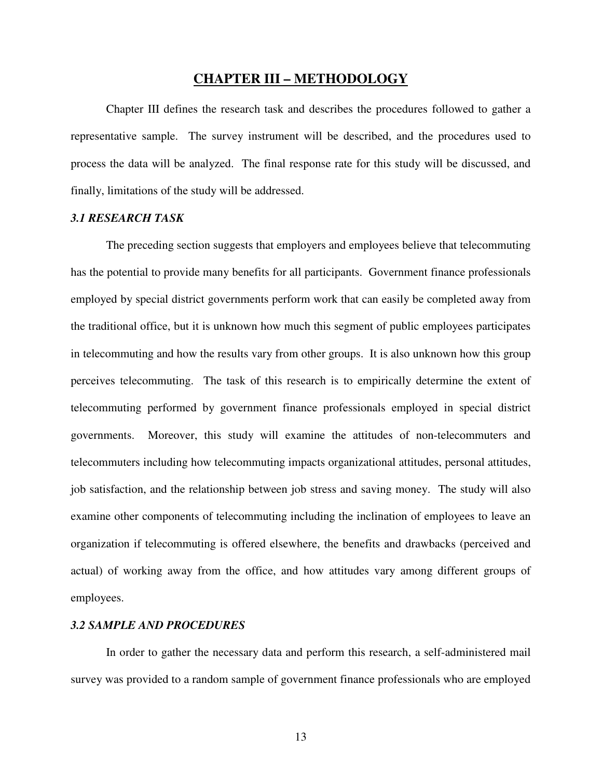# **CHAPTER III – METHODOLOGY**

 Chapter III defines the research task and describes the procedures followed to gather a representative sample. The survey instrument will be described, and the procedures used to process the data will be analyzed. The final response rate for this study will be discussed, and finally, limitations of the study will be addressed.

#### *3.1 RESEARCH TASK*

 The preceding section suggests that employers and employees believe that telecommuting has the potential to provide many benefits for all participants. Government finance professionals employed by special district governments perform work that can easily be completed away from the traditional office, but it is unknown how much this segment of public employees participates in telecommuting and how the results vary from other groups. It is also unknown how this group perceives telecommuting. The task of this research is to empirically determine the extent of telecommuting performed by government finance professionals employed in special district governments. Moreover, this study will examine the attitudes of non-telecommuters and telecommuters including how telecommuting impacts organizational attitudes, personal attitudes, job satisfaction, and the relationship between job stress and saving money. The study will also examine other components of telecommuting including the inclination of employees to leave an organization if telecommuting is offered elsewhere, the benefits and drawbacks (perceived and actual) of working away from the office, and how attitudes vary among different groups of employees.

#### *3.2 SAMPLE AND PROCEDURES*

In order to gather the necessary data and perform this research, a self-administered mail survey was provided to a random sample of government finance professionals who are employed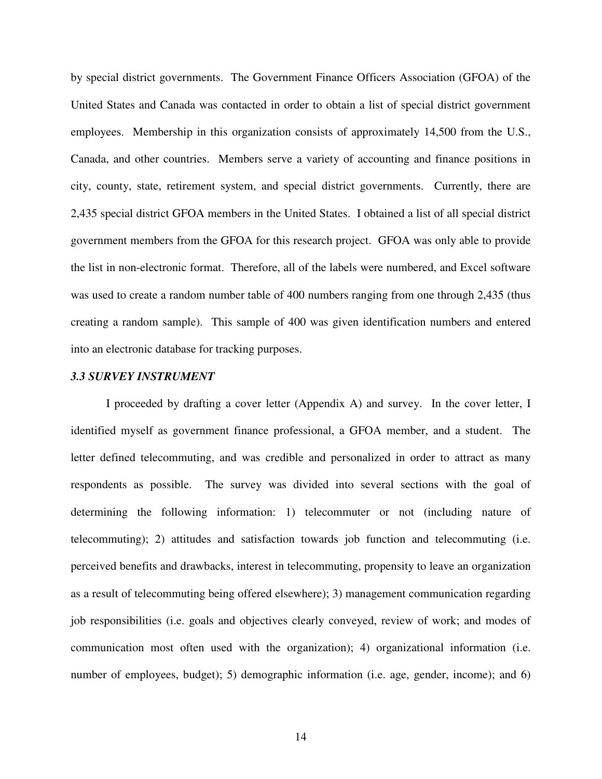by special district governments. The Government Finance Officers Association (GFOA) of the United States and Canada was contacted in order to obtain a list of special district government employees. Membership in this organization consists of approximately 14,500 from the U.S., Canada, and other countries. Members serve a variety of accounting and finance positions in city, county, state, retirement system, and special district governments. Currently, there are 2,435 special district GFOA members in the United States. I obtained a list of all special district government members from the GFOA for this research project. GFOA was only able to provide the list in non-electronic format. Therefore, all of the labels were numbered, and Excel software was used to create a random number table of 400 numbers ranging from one through 2,435 (thus creating a random sample). This sample of 400 was given identification numbers and entered into an electronic database for tracking purposes.

#### *3.3 SURVEY INSTRUMENT*

I proceeded by drafting a cover letter (Appendix A) and survey. In the cover letter, I identified myself as government finance professional, a GFOA member, and a student. The letter defined telecommuting, and was credible and personalized in order to attract as many respondents as possible. The survey was divided into several sections with the goal of determining the following information: 1) telecommuter or not (including nature of telecommuting); 2) attitudes and satisfaction towards job function and telecommuting (i.e. perceived benefits and drawbacks, interest in telecommuting, propensity to leave an organization as a result of telecommuting being offered elsewhere); 3) management communication regarding job responsibilities (i.e. goals and objectives clearly conveyed, review of work; and modes of communication most often used with the organization); 4) organizational information (i.e. number of employees, budget); 5) demographic information (i.e. age, gender, income); and 6)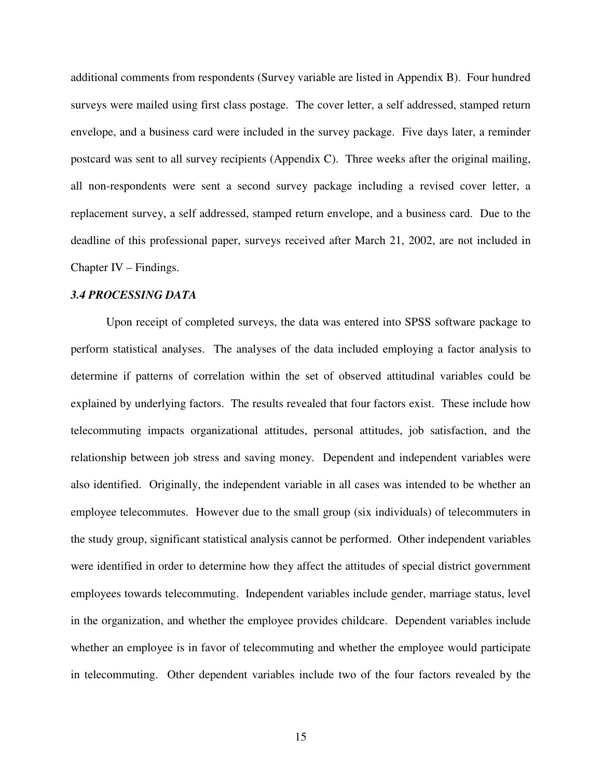additional comments from respondents (Survey variable are listed in Appendix B). Four hundred surveys were mailed using first class postage. The cover letter, a self addressed, stamped return envelope, and a business card were included in the survey package. Five days later, a reminder postcard was sent to all survey recipients (Appendix C). Three weeks after the original mailing, all non-respondents were sent a second survey package including a revised cover letter, a replacement survey, a self addressed, stamped return envelope, and a business card. Due to the deadline of this professional paper, surveys received after March 21, 2002, are not included in Chapter IV – Findings.

#### *3.4 PROCESSING DATA*

Upon receipt of completed surveys, the data was entered into SPSS software package to perform statistical analyses. The analyses of the data included employing a factor analysis to determine if patterns of correlation within the set of observed attitudinal variables could be explained by underlying factors. The results revealed that four factors exist. These include how telecommuting impacts organizational attitudes, personal attitudes, job satisfaction, and the relationship between job stress and saving money. Dependent and independent variables were also identified. Originally, the independent variable in all cases was intended to be whether an employee telecommutes. However due to the small group (six individuals) of telecommuters in the study group, significant statistical analysis cannot be performed. Other independent variables were identified in order to determine how they affect the attitudes of special district government employees towards telecommuting. Independent variables include gender, marriage status, level in the organization, and whether the employee provides childcare. Dependent variables include whether an employee is in favor of telecommuting and whether the employee would participate in telecommuting. Other dependent variables include two of the four factors revealed by the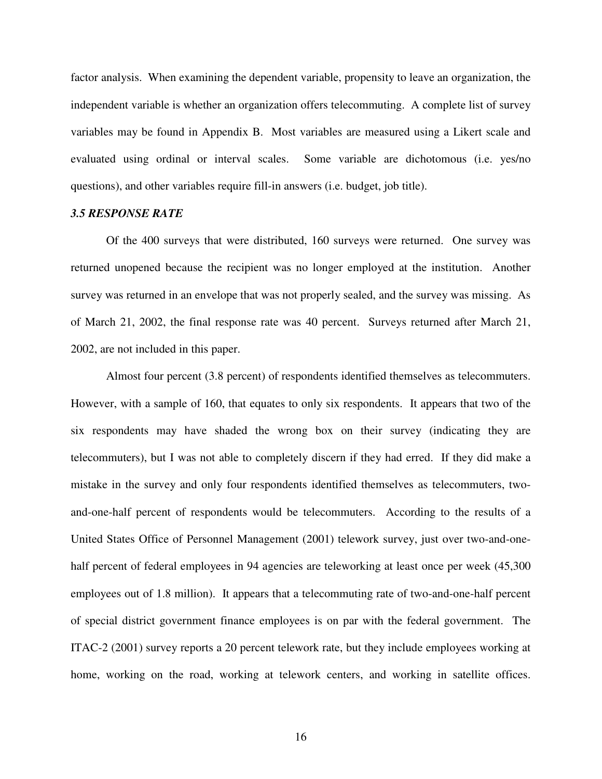factor analysis. When examining the dependent variable, propensity to leave an organization, the independent variable is whether an organization offers telecommuting. A complete list of survey variables may be found in Appendix B. Most variables are measured using a Likert scale and evaluated using ordinal or interval scales. Some variable are dichotomous (i.e. yes/no questions), and other variables require fill-in answers (i.e. budget, job title).

#### *3.5 RESPONSE RATE*

 Of the 400 surveys that were distributed, 160 surveys were returned. One survey was returned unopened because the recipient was no longer employed at the institution. Another survey was returned in an envelope that was not properly sealed, and the survey was missing. As of March 21, 2002, the final response rate was 40 percent. Surveys returned after March 21, 2002, are not included in this paper.

 Almost four percent (3.8 percent) of respondents identified themselves as telecommuters. However, with a sample of 160, that equates to only six respondents. It appears that two of the six respondents may have shaded the wrong box on their survey (indicating they are telecommuters), but I was not able to completely discern if they had erred. If they did make a mistake in the survey and only four respondents identified themselves as telecommuters, twoand-one-half percent of respondents would be telecommuters. According to the results of a United States Office of Personnel Management (2001) telework survey, just over two-and-onehalf percent of federal employees in 94 agencies are teleworking at least once per week  $(45,300)$ employees out of 1.8 million). It appears that a telecommuting rate of two-and-one-half percent of special district government finance employees is on par with the federal government. The ITAC-2 (2001) survey reports a 20 percent telework rate, but they include employees working at home, working on the road, working at telework centers, and working in satellite offices.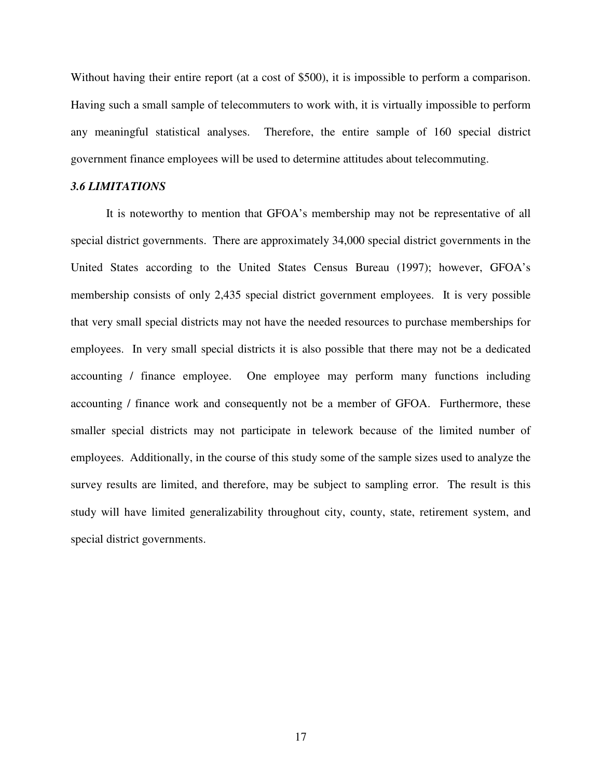Without having their entire report (at a cost of \$500), it is impossible to perform a comparison. Having such a small sample of telecommuters to work with, it is virtually impossible to perform any meaningful statistical analyses. Therefore, the entire sample of 160 special district government finance employees will be used to determine attitudes about telecommuting.

#### *3.6 LIMITATIONS*

It is noteworthy to mention that GFOA's membership may not be representative of all special district governments. There are approximately 34,000 special district governments in the United States according to the United States Census Bureau (1997); however, GFOA's membership consists of only 2,435 special district government employees. It is very possible that very small special districts may not have the needed resources to purchase memberships for employees. In very small special districts it is also possible that there may not be a dedicated accounting / finance employee. One employee may perform many functions including accounting / finance work and consequently not be a member of GFOA. Furthermore, these smaller special districts may not participate in telework because of the limited number of employees. Additionally, in the course of this study some of the sample sizes used to analyze the survey results are limited, and therefore, may be subject to sampling error. The result is this study will have limited generalizability throughout city, county, state, retirement system, and special district governments.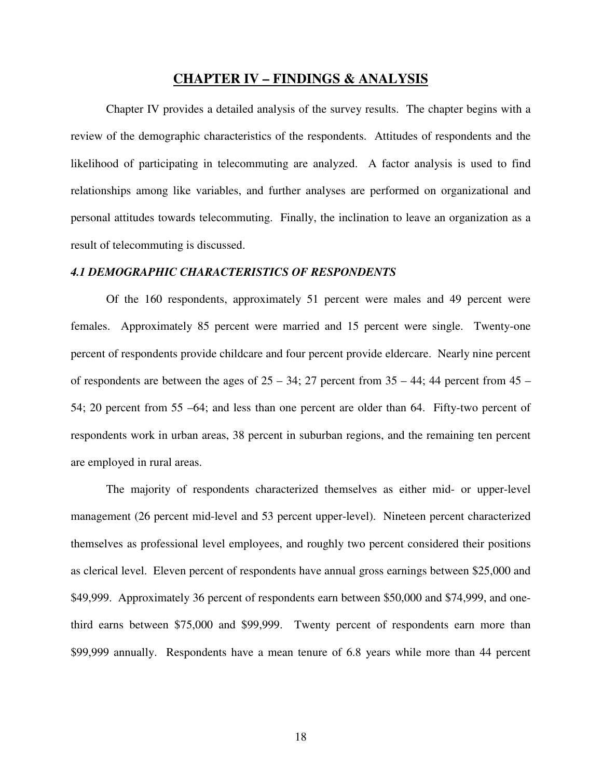# **CHAPTER IV – FINDINGS & ANALYSIS**

 Chapter IV provides a detailed analysis of the survey results. The chapter begins with a review of the demographic characteristics of the respondents. Attitudes of respondents and the likelihood of participating in telecommuting are analyzed. A factor analysis is used to find relationships among like variables, and further analyses are performed on organizational and personal attitudes towards telecommuting. Finally, the inclination to leave an organization as a result of telecommuting is discussed.

#### *4.1 DEMOGRAPHIC CHARACTERISTICS OF RESPONDENTS*

 Of the 160 respondents, approximately 51 percent were males and 49 percent were females. Approximately 85 percent were married and 15 percent were single. Twenty-one percent of respondents provide childcare and four percent provide eldercare. Nearly nine percent of respondents are between the ages of  $25 - 34$ ; 27 percent from  $35 - 44$ ; 44 percent from  $45 -$ 54; 20 percent from 55 –64; and less than one percent are older than 64. Fifty-two percent of respondents work in urban areas, 38 percent in suburban regions, and the remaining ten percent are employed in rural areas.

 The majority of respondents characterized themselves as either mid- or upper-level management (26 percent mid-level and 53 percent upper-level). Nineteen percent characterized themselves as professional level employees, and roughly two percent considered their positions as clerical level. Eleven percent of respondents have annual gross earnings between \$25,000 and \$49,999. Approximately 36 percent of respondents earn between \$50,000 and \$74,999, and onethird earns between \$75,000 and \$99,999. Twenty percent of respondents earn more than \$99,999 annually. Respondents have a mean tenure of 6.8 years while more than 44 percent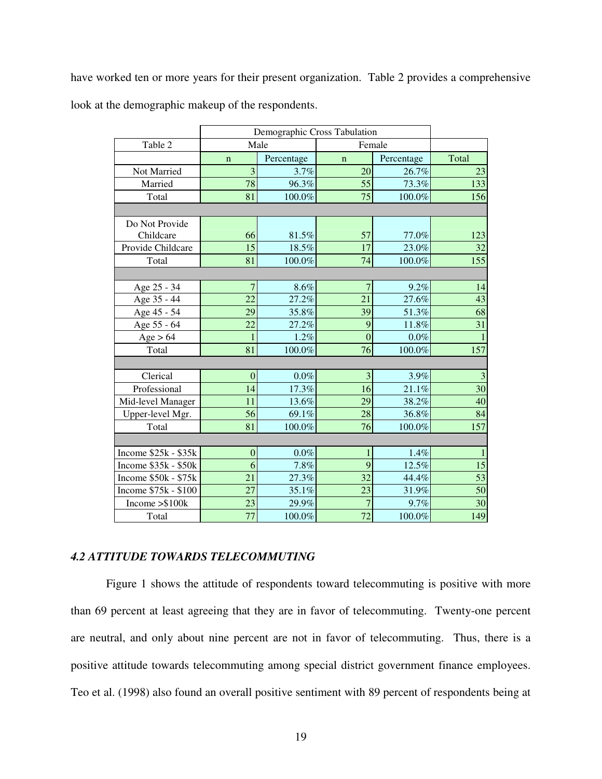have worked ten or more years for their present organization. Table 2 provides a comprehensive look at the demographic makeup of the respondents.

|                      | Demographic Cross Tabulation |            |                |            |                |
|----------------------|------------------------------|------------|----------------|------------|----------------|
| Table 2              | Male<br>Female               |            |                |            |                |
|                      | $\mathbf n$                  | Percentage | $\mathbf n$    | Percentage | Total          |
| Not Married          | $\overline{3}$               | 3.7%       | 20             | 26.7%      | 23             |
| Married              | 78                           | 96.3%      | 55             | 73.3%      | 133            |
| Total                | 81                           | 100.0%     | 75             | 100.0%     | 156            |
|                      |                              |            |                |            |                |
| Do Not Provide       |                              |            |                |            |                |
| Childcare            | 66                           | 81.5%      | 57             | 77.0%      | 123            |
| Provide Childcare    | 15                           | 18.5%      | 17             | 23.0%      | 32             |
| Total                | 81                           | 100.0%     | 74             | 100.0%     | 155            |
|                      |                              |            |                |            |                |
| Age 25 - 34          | $\overline{7}$               | $8.6\%$    | $\overline{7}$ | 9.2%       | 14             |
| Age 35 - 44          | 22                           | 27.2%      | 21             | 27.6%      | 43             |
| Age 45 - 54          | 29                           | 35.8%      | 39             | 51.3%      | 68             |
| Age 55 - 64          | 22                           | 27.2%      | 9              | 11.8%      | 31             |
| Age > 64             |                              | 1.2%       | $\overline{0}$ | $0.0\%$    | $\mathbf{1}$   |
| Total                | 81                           | 100.0%     | 76             | 100.0%     | 157            |
|                      |                              |            |                |            |                |
| Clerical             | $\overline{0}$               | $0.0\%$    | 3              | 3.9%       | $\mathfrak{Z}$ |
| Professional         | 14                           | 17.3%      | 16             | 21.1%      | 30             |
| Mid-level Manager    | 11                           | 13.6%      | 29             | 38.2%      | 40             |
| Upper-level Mgr.     | 56                           | 69.1%      | 28             | 36.8%      | 84             |
| Total                | 81                           | 100.0%     | 76             | 100.0%     | 157            |
|                      |                              |            |                |            |                |
| Income $$25k - $35k$ | $\overline{0}$               | $0.0\%$    | 1              | 1.4%       | $\mathbf{1}$   |
| Income $$35k - $50k$ | 6                            | 7.8%       | 9              | 12.5%      | 15             |
| Income $$50k - $75k$ | 21                           | 27.3%      | 32             | 44.4%      | 53             |
| Income \$75k - \$100 | 27                           | 35.1%      | 23             | 31.9%      | 50             |
| Income $>\$100k$     | 23                           | 29.9%      | 7              | 9.7%       | 30             |
| Total                | 77                           | 100.0%     | 72             | 100.0%     | 149            |

## *4.2 ATTITUDE TOWARDS TELECOMMUTING*

Figure 1 shows the attitude of respondents toward telecommuting is positive with more than 69 percent at least agreeing that they are in favor of telecommuting. Twenty-one percent are neutral, and only about nine percent are not in favor of telecommuting. Thus, there is a positive attitude towards telecommuting among special district government finance employees. Teo et al. (1998) also found an overall positive sentiment with 89 percent of respondents being at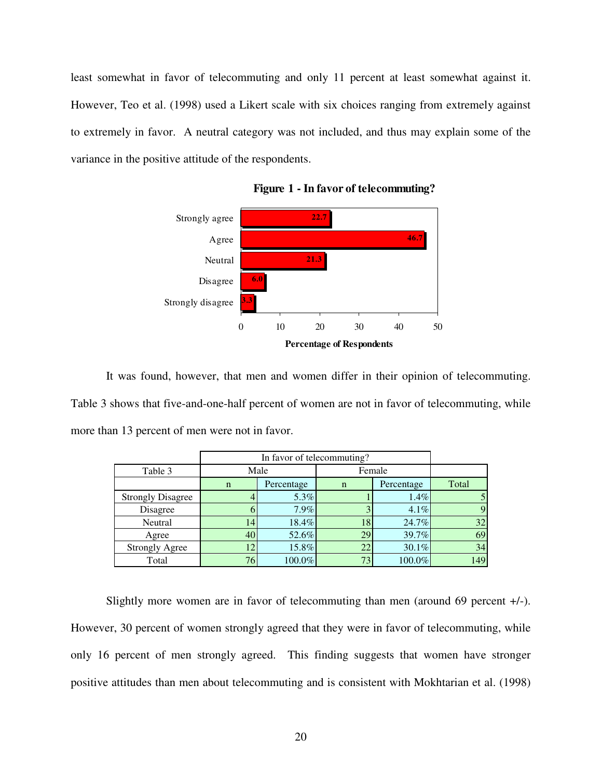least somewhat in favor of telecommuting and only 11 percent at least somewhat against it. However, Teo et al. (1998) used a Likert scale with six choices ranging from extremely against to extremely in favor. A neutral category was not included, and thus may explain some of the variance in the positive attitude of the respondents.



**Figure 1 - In favor of telecommuting?**

It was found, however, that men and women differ in their opinion of telecommuting. Table 3 shows that five-and-one-half percent of women are not in favor of telecommuting, while more than 13 percent of men were not in favor.

|                          |                 | In favor of telecommuting? |             |            |       |  |
|--------------------------|-----------------|----------------------------|-------------|------------|-------|--|
| Table 3                  |                 | Male                       | Female      |            |       |  |
|                          | $\mathbf n$     | Percentage                 | $\mathbf n$ | Percentage | Total |  |
| <b>Strongly Disagree</b> |                 | 5.3%                       |             | $1.4\%$    |       |  |
| Disagree                 |                 | 7.9%                       |             | $4.1\%$    | 9     |  |
| Neutral                  | 14              | 18.4%                      | 18          | 24.7%      | 32    |  |
| Agree                    | 40              | 52.6%                      | 29          | 39.7%      | 69    |  |
| <b>Strongly Agree</b>    | 12 <sub>1</sub> | 15.8%                      | 22          | $30.1\%$   | 34    |  |
| Total                    | 76              | 100.0%                     | 73          | 100.0%     | 149   |  |

Slightly more women are in favor of telecommuting than men (around 69 percent +/-). However, 30 percent of women strongly agreed that they were in favor of telecommuting, while only 16 percent of men strongly agreed. This finding suggests that women have stronger positive attitudes than men about telecommuting and is consistent with Mokhtarian et al. (1998)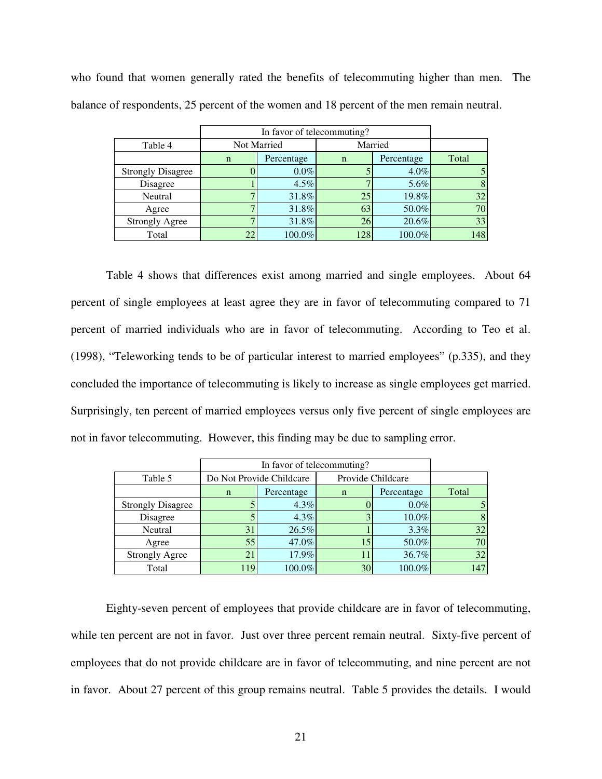who found that women generally rated the benefits of telecommuting higher than men. The balance of respondents, 25 percent of the women and 18 percent of the men remain neutral.

|                          |   | In favor of telecommuting? |         |            |       |  |
|--------------------------|---|----------------------------|---------|------------|-------|--|
| Table 4                  |   | Not Married                | Married |            |       |  |
|                          | n | Percentage                 | n       | Percentage | Total |  |
| <b>Strongly Disagree</b> |   | $0.0\%$                    |         | $4.0\%$    | 5     |  |
| Disagree                 |   | 4.5%                       |         | 5.6%       | 8     |  |
| Neutral                  |   | 31.8%                      | 25      | 19.8%      | 32    |  |
| Agree                    |   | 31.8%                      | 63      | 50.0%      | 70    |  |
| <b>Strongly Agree</b>    |   | 31.8%                      | 26      | 20.6%      | 33    |  |
| Total                    |   | 100.0%                     | 128     | 100.0%     | 148   |  |

Table 4 shows that differences exist among married and single employees. About 64 percent of single employees at least agree they are in favor of telecommuting compared to 71 percent of married individuals who are in favor of telecommuting. According to Teo et al. (1998), "Teleworking tends to be of particular interest to married employees" (p.335), and they concluded the importance of telecommuting is likely to increase as single employees get married. Surprisingly, ten percent of married employees versus only five percent of single employees are not in favor telecommuting. However, this finding may be due to sampling error.

|                          |             | In favor of telecommuting? |             |                   |       |
|--------------------------|-------------|----------------------------|-------------|-------------------|-------|
| Table 5                  |             | Do Not Provide Childcare   |             | Provide Childcare |       |
|                          | $\mathbf n$ | Percentage                 | $\mathbf n$ | Percentage        | Total |
| <b>Strongly Disagree</b> |             | $4.3\%$                    |             | $0.0\%$           |       |
| Disagree                 |             | $4.3\%$                    |             | $10.0\%$          | 8     |
| Neutral                  | 31          | 26.5%                      |             | $3.3\%$           | 32    |
| Agree                    | 55          | 47.0%                      | 15          | 50.0%             | 70    |
| <b>Strongly Agree</b>    |             | 17.9%                      | 11          | 36.7%             | 32    |
| Total                    | 119         | 100.0%                     | 30          | 100.0%            | 147   |

Eighty-seven percent of employees that provide childcare are in favor of telecommuting, while ten percent are not in favor. Just over three percent remain neutral. Sixty-five percent of employees that do not provide childcare are in favor of telecommuting, and nine percent are not in favor. About 27 percent of this group remains neutral. Table 5 provides the details. I would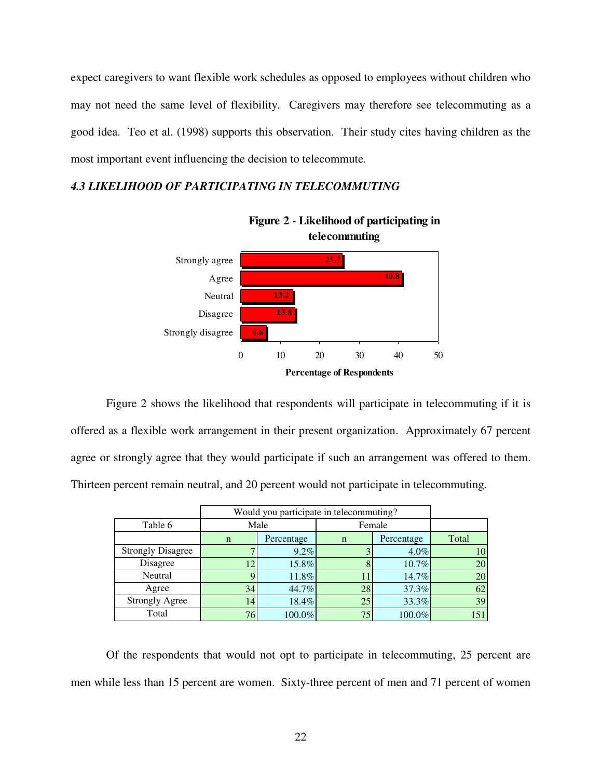expect caregivers to want flexible work schedules as opposed to employees without children who may not need the same level of flexibility. Caregivers may therefore see telecommuting as a good idea. Teo et al. (1998) supports this observation. Their study cites having children as the most important event influencing the decision to telecommute.

# *4.3 LIKELIHOOD OF PARTICIPATING IN TELECOMMUTING*





Figure 2 shows the likelihood that respondents will participate in telecommuting if it is offered as a flexible work arrangement in their present organization. Approximately 67 percent agree or strongly agree that they would participate if such an arrangement was offered to them. Thirteen percent remain neutral, and 20 percent would not participate in telecommuting.

|                          |             | Would you participate in telecommuting? |    |            |       |  |
|--------------------------|-------------|-----------------------------------------|----|------------|-------|--|
| Table 6                  |             | Male                                    |    | Female     |       |  |
|                          | $\mathbf n$ | Percentage                              | n  | Percentage | Total |  |
| <b>Strongly Disagree</b> |             | 9.2%                                    |    | $4.0\%$    | 10    |  |
| Disagree                 |             | 15.8%                                   |    | 10.7%      | 20    |  |
| Neutral                  |             | 11.8%                                   | 11 | 14.7%      | 20    |  |
| Agree                    | 34          | 44.7%                                   | 28 | 37.3%      | 62    |  |
| <b>Strongly Agree</b>    | 14          | 18.4%                                   | 25 | 33.3%      | 39    |  |
| Total                    | 76          | 100.0%                                  | 75 | 100.0%     | 151   |  |

Of the respondents that would not opt to participate in telecommuting, 25 percent are men while less than 15 percent are women. Sixty-three percent of men and 71 percent of women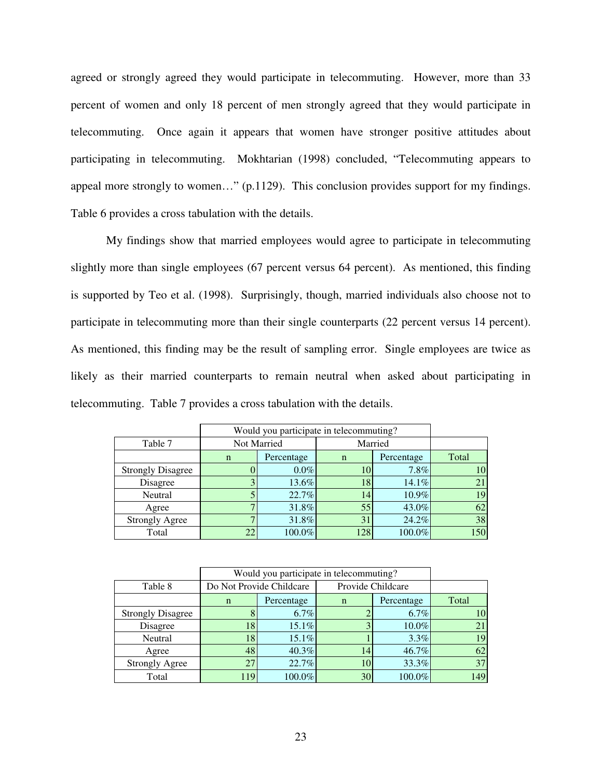agreed or strongly agreed they would participate in telecommuting. However, more than 33 percent of women and only 18 percent of men strongly agreed that they would participate in telecommuting. Once again it appears that women have stronger positive attitudes about participating in telecommuting. Mokhtarian (1998) concluded, "Telecommuting appears to appeal more strongly to women…" (p.1129). This conclusion provides support for my findings. Table 6 provides a cross tabulation with the details.

 My findings show that married employees would agree to participate in telecommuting slightly more than single employees (67 percent versus 64 percent). As mentioned, this finding is supported by Teo et al. (1998). Surprisingly, though, married individuals also choose not to participate in telecommuting more than their single counterparts (22 percent versus 14 percent). As mentioned, this finding may be the result of sampling error. Single employees are twice as likely as their married counterparts to remain neutral when asked about participating in telecommuting. Table 7 provides a cross tabulation with the details.

|                          |             | Would you participate in telecommuting? |         |            |       |  |
|--------------------------|-------------|-----------------------------------------|---------|------------|-------|--|
| Table 7                  | Not Married |                                         | Married |            |       |  |
|                          | $\mathbf n$ | Percentage                              | n       | Percentage | Total |  |
| <b>Strongly Disagree</b> |             | $0.0\%$                                 | 10      | 7.8%       | 10    |  |
| Disagree                 |             | 13.6%                                   | 18      | 14.1%      | 21    |  |
| Neutral                  |             | 22.7%                                   | 14      | 10.9%      | 19    |  |
| Agree                    |             | 31.8%                                   | 55      | 43.0%      | 62    |  |
| <b>Strongly Agree</b>    |             | 31.8%                                   | 31      | 24.2%      | 38    |  |
| Total                    |             | 100.0%                                  | 128     | 100.0%     | 150   |  |

| Would you participate in telecommuting? |             |                          |                   |            |       |
|-----------------------------------------|-------------|--------------------------|-------------------|------------|-------|
| Table 8                                 |             | Do Not Provide Childcare | Provide Childcare |            |       |
|                                         | $\mathbf n$ | Percentage               | $\mathbf n$       | Percentage | Total |
| <b>Strongly Disagree</b>                |             | 6.7%                     |                   | $6.7\%$    | 10    |
| Disagree                                | 18          | $15.1\%$                 |                   | 10.0%      |       |
| Neutral                                 | 18          | 15.1%                    |                   | 3.3%       | 19    |
| Agree                                   | 48          | 40.3%                    | 14                | 46.7%      | 62    |
| <b>Strongly Agree</b>                   |             | 22.7%                    | 10                | 33.3%      | 37    |
| Total                                   | 119         | 100.0%                   | 30                | 100.0%     | 149   |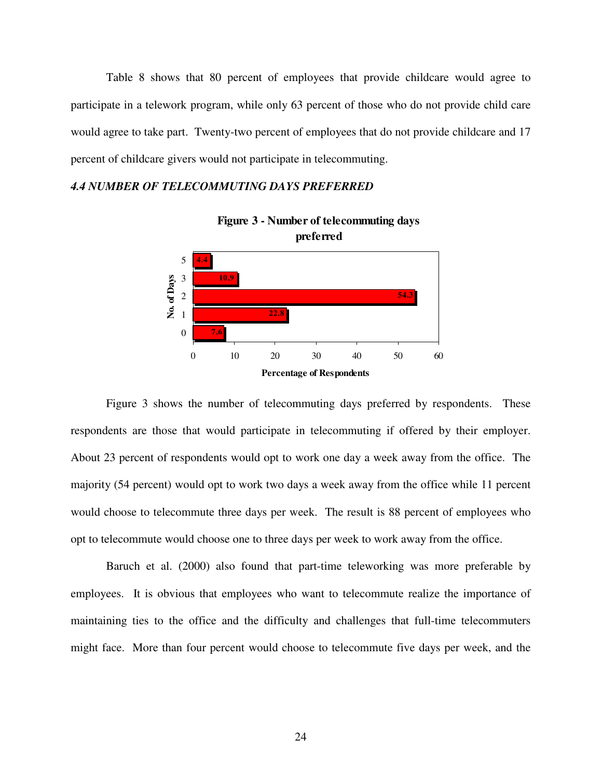Table 8 shows that 80 percent of employees that provide childcare would agree to participate in a telework program, while only 63 percent of those who do not provide child care would agree to take part. Twenty-two percent of employees that do not provide childcare and 17 percent of childcare givers would not participate in telecommuting.

#### *4.4 NUMBER OF TELECOMMUTING DAYS PREFERRED*



**Figure 3 - Number of telecommuting days preferred**

Figure 3 shows the number of telecommuting days preferred by respondents. These respondents are those that would participate in telecommuting if offered by their employer. About 23 percent of respondents would opt to work one day a week away from the office. The majority (54 percent) would opt to work two days a week away from the office while 11 percent would choose to telecommute three days per week. The result is 88 percent of employees who opt to telecommute would choose one to three days per week to work away from the office.

Baruch et al. (2000) also found that part-time teleworking was more preferable by employees. It is obvious that employees who want to telecommute realize the importance of maintaining ties to the office and the difficulty and challenges that full-time telecommuters might face. More than four percent would choose to telecommute five days per week, and the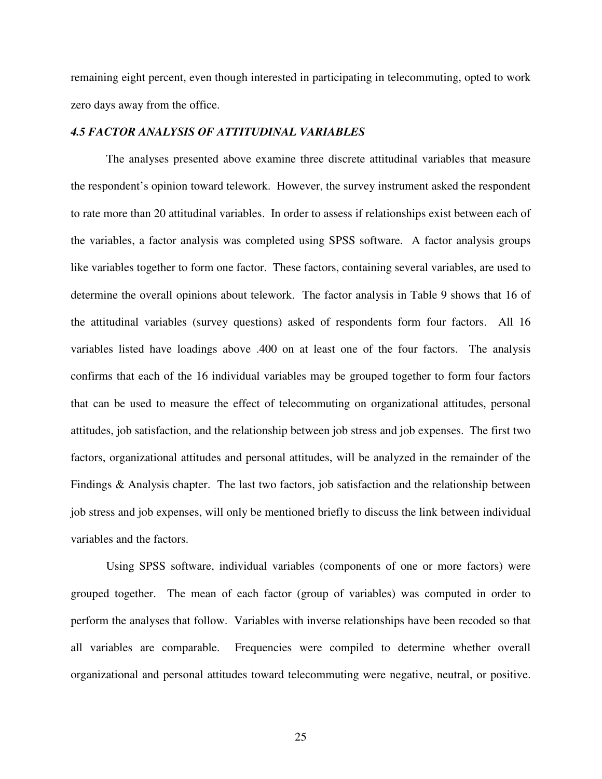remaining eight percent, even though interested in participating in telecommuting, opted to work zero days away from the office.

#### *4.5 FACTOR ANALYSIS OF ATTITUDINAL VARIABLES*

The analyses presented above examine three discrete attitudinal variables that measure the respondent's opinion toward telework. However, the survey instrument asked the respondent to rate more than 20 attitudinal variables. In order to assess if relationships exist between each of the variables, a factor analysis was completed using SPSS software. A factor analysis groups like variables together to form one factor. These factors, containing several variables, are used to determine the overall opinions about telework. The factor analysis in Table 9 shows that 16 of the attitudinal variables (survey questions) asked of respondents form four factors. All 16 variables listed have loadings above .400 on at least one of the four factors. The analysis confirms that each of the 16 individual variables may be grouped together to form four factors that can be used to measure the effect of telecommuting on organizational attitudes, personal attitudes, job satisfaction, and the relationship between job stress and job expenses. The first two factors, organizational attitudes and personal attitudes, will be analyzed in the remainder of the Findings & Analysis chapter. The last two factors, job satisfaction and the relationship between job stress and job expenses, will only be mentioned briefly to discuss the link between individual variables and the factors.

Using SPSS software, individual variables (components of one or more factors) were grouped together. The mean of each factor (group of variables) was computed in order to perform the analyses that follow. Variables with inverse relationships have been recoded so that all variables are comparable. Frequencies were compiled to determine whether overall organizational and personal attitudes toward telecommuting were negative, neutral, or positive.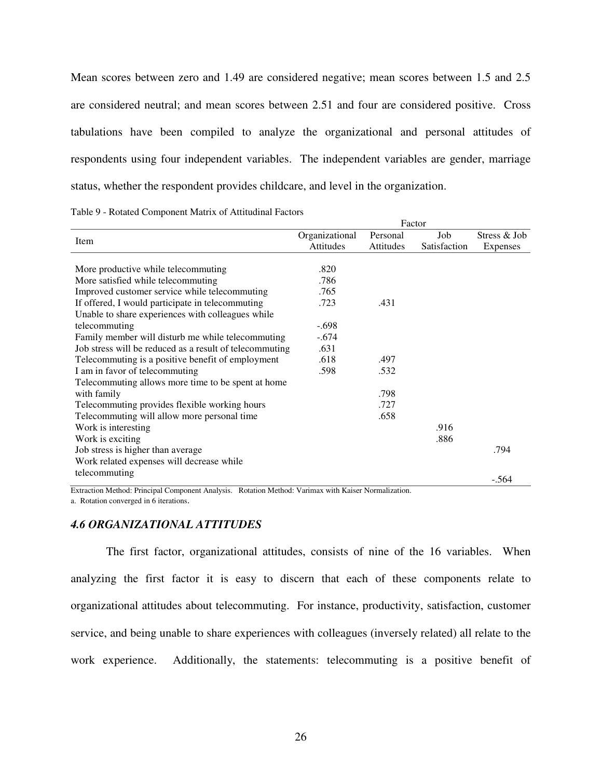Mean scores between zero and 1.49 are considered negative; mean scores between 1.5 and 2.5 are considered neutral; and mean scores between 2.51 and four are considered positive. Cross tabulations have been compiled to analyze the organizational and personal attitudes of respondents using four independent variables. The independent variables are gender, marriage status, whether the respondent provides childcare, and level in the organization.

| Table 9 - Rotated Component Matrix of Attitudinal Factors |
|-----------------------------------------------------------|
|-----------------------------------------------------------|

|                                                         | Factor         |           |              |              |  |  |  |  |  |
|---------------------------------------------------------|----------------|-----------|--------------|--------------|--|--|--|--|--|
| Item                                                    | Organizational | Personal  | Job          | Stress & Job |  |  |  |  |  |
|                                                         | Attitudes      | Attitudes | Satisfaction | Expenses     |  |  |  |  |  |
|                                                         |                |           |              |              |  |  |  |  |  |
| More productive while telecommuting                     | .820           |           |              |              |  |  |  |  |  |
| More satisfied while telecommuting                      | .786           |           |              |              |  |  |  |  |  |
| Improved customer service while telecommuting           | .765           |           |              |              |  |  |  |  |  |
| If offered, I would participate in telecommuting        | .723           | .431      |              |              |  |  |  |  |  |
| Unable to share experiences with colleagues while       |                |           |              |              |  |  |  |  |  |
| telecommuting                                           | $-.698$        |           |              |              |  |  |  |  |  |
| Family member will disturb me while telecommuting       | $-.674$        |           |              |              |  |  |  |  |  |
| Job stress will be reduced as a result of telecommuting | .631           |           |              |              |  |  |  |  |  |
| Telecommuting is a positive benefit of employment       | .618           | .497      |              |              |  |  |  |  |  |
| I am in favor of telecommuting                          | .598           | .532      |              |              |  |  |  |  |  |
| Telecommuting allows more time to be spent at home      |                |           |              |              |  |  |  |  |  |
| with family                                             |                | .798      |              |              |  |  |  |  |  |
| Telecommuting provides flexible working hours           |                | .727      |              |              |  |  |  |  |  |
| Telecommuting will allow more personal time             |                | .658      |              |              |  |  |  |  |  |
| Work is interesting                                     |                |           | .916         |              |  |  |  |  |  |
| Work is exciting                                        |                |           | .886         |              |  |  |  |  |  |
| Job stress is higher than average                       |                |           |              | .794         |  |  |  |  |  |
| Work related expenses will decrease while               |                |           |              |              |  |  |  |  |  |
| telecommuting                                           |                |           |              | $-.564$      |  |  |  |  |  |
|                                                         |                |           |              |              |  |  |  |  |  |

Extraction Method: Principal Component Analysis. Rotation Method: Varimax with Kaiser Normalization. a. Rotation converged in 6 iterations.

# *4.6 ORGANIZATIONAL ATTITUDES*

The first factor, organizational attitudes, consists of nine of the 16 variables. When analyzing the first factor it is easy to discern that each of these components relate to organizational attitudes about telecommuting. For instance, productivity, satisfaction, customer service, and being unable to share experiences with colleagues (inversely related) all relate to the work experience. Additionally, the statements: telecommuting is a positive benefit of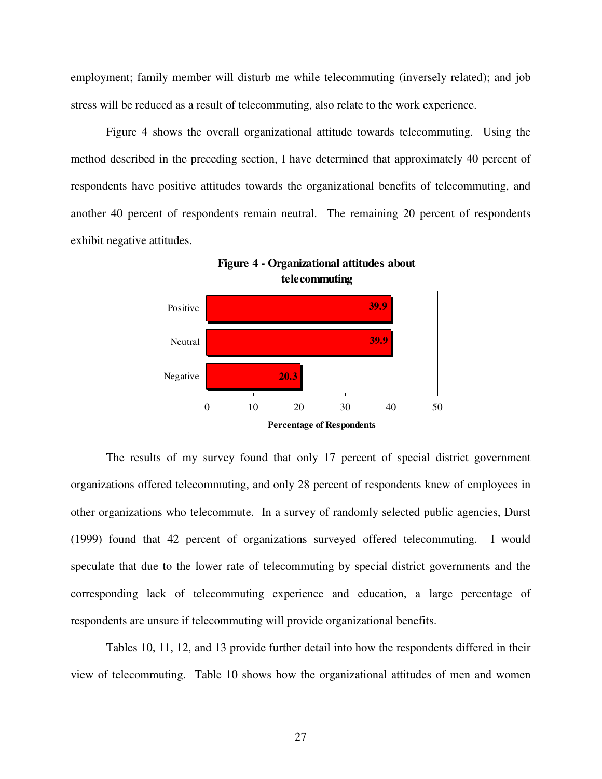employment; family member will disturb me while telecommuting (inversely related); and job stress will be reduced as a result of telecommuting, also relate to the work experience.

Figure 4 shows the overall organizational attitude towards telecommuting. Using the method described in the preceding section, I have determined that approximately 40 percent of respondents have positive attitudes towards the organizational benefits of telecommuting, and another 40 percent of respondents remain neutral. The remaining 20 percent of respondents exhibit negative attitudes.



The results of my survey found that only 17 percent of special district government organizations offered telecommuting, and only 28 percent of respondents knew of employees in other organizations who telecommute. In a survey of randomly selected public agencies, Durst (1999) found that 42 percent of organizations surveyed offered telecommuting. I would speculate that due to the lower rate of telecommuting by special district governments and the corresponding lack of telecommuting experience and education, a large percentage of respondents are unsure if telecommuting will provide organizational benefits.

 Tables 10, 11, 12, and 13 provide further detail into how the respondents differed in their view of telecommuting. Table 10 shows how the organizational attitudes of men and women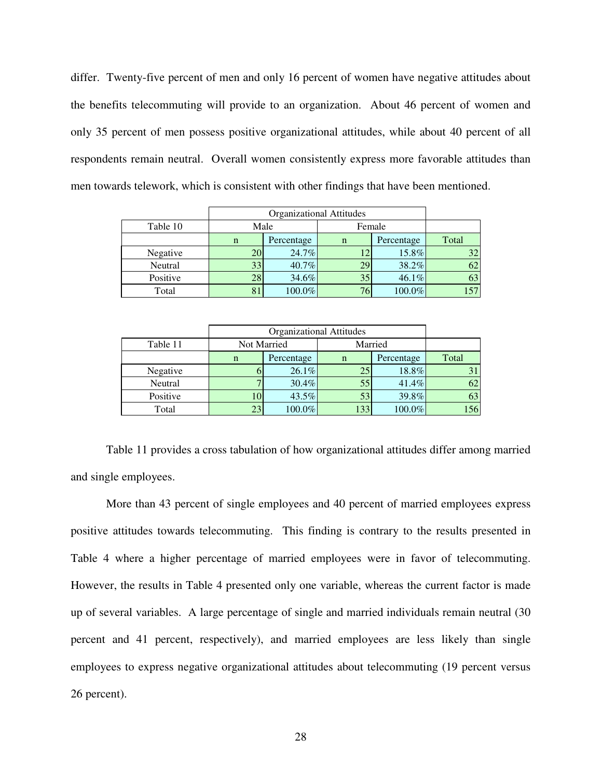differ. Twenty-five percent of men and only 16 percent of women have negative attitudes about the benefits telecommuting will provide to an organization. About 46 percent of women and only 35 percent of men possess positive organizational attitudes, while about 40 percent of all respondents remain neutral. Overall women consistently express more favorable attitudes than men towards telework, which is consistent with other findings that have been mentioned.

|          |      | <b>Organizational Attitudes</b> |             |            |       |  |  |  |  |  |  |
|----------|------|---------------------------------|-------------|------------|-------|--|--|--|--|--|--|
| Table 10 | Male |                                 | Female      |            |       |  |  |  |  |  |  |
|          | n    | Percentage                      | $\mathbf n$ | Percentage | Total |  |  |  |  |  |  |
| Negative | 20   | 24.7%                           |             | 15.8%      | 32    |  |  |  |  |  |  |
| Neutral  | 33   | 40.7%                           | 29          | 38.2%      | 62    |  |  |  |  |  |  |
| Positive | 28   | 34.6%                           | 35          | 46.1%      | 63    |  |  |  |  |  |  |
| Total    | 81   | 100.0%                          | 76          | $100.0\%$  | 157   |  |  |  |  |  |  |

| Table 11 | Not Married |            |             | Married    |       |  |  |  |
|----------|-------------|------------|-------------|------------|-------|--|--|--|
|          | n           | Percentage | $\mathbf n$ | Percentage | Total |  |  |  |
| Negative |             | 26.1%      | 25          | 18.8%      |       |  |  |  |
| Neutral  |             | 30.4%      | 55          | $41.4\%$   | 62    |  |  |  |
| Positive | 10          | 43.5%      | 53          | 39.8%      | 63    |  |  |  |
| Total    | 23          | 100.0%     | 133         | $100.0\%$  | 156   |  |  |  |

Table 11 provides a cross tabulation of how organizational attitudes differ among married and single employees.

More than 43 percent of single employees and 40 percent of married employees express positive attitudes towards telecommuting. This finding is contrary to the results presented in Table 4 where a higher percentage of married employees were in favor of telecommuting. However, the results in Table 4 presented only one variable, whereas the current factor is made up of several variables. A large percentage of single and married individuals remain neutral (30 percent and 41 percent, respectively), and married employees are less likely than single employees to express negative organizational attitudes about telecommuting (19 percent versus 26 percent).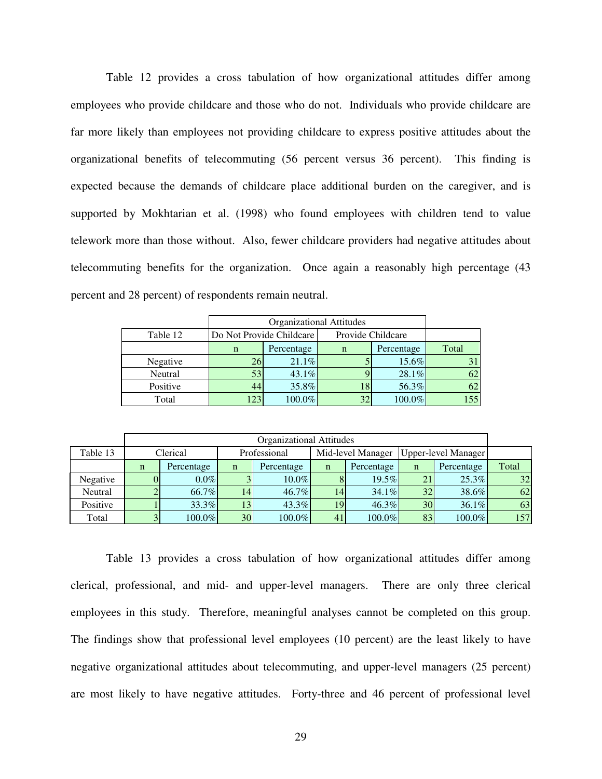Table 12 provides a cross tabulation of how organizational attitudes differ among employees who provide childcare and those who do not. Individuals who provide childcare are far more likely than employees not providing childcare to express positive attitudes about the organizational benefits of telecommuting (56 percent versus 36 percent). This finding is expected because the demands of childcare place additional burden on the caregiver, and is supported by Mokhtarian et al. (1998) who found employees with children tend to value telework more than those without. Also, fewer childcare providers had negative attitudes about telecommuting benefits for the organization. Once again a reasonably high percentage (43 percent and 28 percent) of respondents remain neutral.

|          |     | <b>Organizational Attitudes</b> |             |                   |       |  |  |  |  |
|----------|-----|---------------------------------|-------------|-------------------|-------|--|--|--|--|
| Table 12 |     | Do Not Provide Childcare        |             | Provide Childcare |       |  |  |  |  |
|          | n   | Percentage                      | $\mathbf n$ | Percentage        | Total |  |  |  |  |
| Negative | 26  | 21.1%                           |             | 15.6%             | 31    |  |  |  |  |
| Neutral  | 53  | 43.1%                           |             | 28.1%             | 62    |  |  |  |  |
| Positive | 44  | 35.8%                           |             | 56.3%             | 62    |  |  |  |  |
| Total    | 123 | 100.0%                          | 32          | 100.0%            | 155   |  |  |  |  |

|          |             | <b>Organizational Attitudes</b> |              |            |             |                   |                     |            |       |  |
|----------|-------------|---------------------------------|--------------|------------|-------------|-------------------|---------------------|------------|-------|--|
| Table 13 |             | Clerical                        | Professional |            |             | Mid-level Manager | Upper-level Manager |            |       |  |
|          | $\mathbf n$ | Percentage                      | n            | Percentage | $\mathbf n$ | Percentage        | $\mathbf n$         | Percentage | Total |  |
| Negative |             | $0.0\%$                         |              | $10.0\%$   | 8           | $19.5\%$          | 21                  | $25.3\%$   | 32    |  |
| Neutral  |             | 66.7%                           | 14           | 46.7%      | 14          | $34.1\%$          | 32                  | 38.6%      | 62    |  |
| Positive |             | 33.3%                           | 13           | 43.3%      | 19          | $46.3\%$          | 30                  | 36.1%      | 63    |  |
| Total    |             | 100.0%                          | 30           | 100.0%     | 41          | $100.0\%$         | 83                  | $100.0\%$  | 157   |  |

Table 13 provides a cross tabulation of how organizational attitudes differ among clerical, professional, and mid- and upper-level managers. There are only three clerical employees in this study. Therefore, meaningful analyses cannot be completed on this group. The findings show that professional level employees (10 percent) are the least likely to have negative organizational attitudes about telecommuting, and upper-level managers (25 percent) are most likely to have negative attitudes. Forty-three and 46 percent of professional level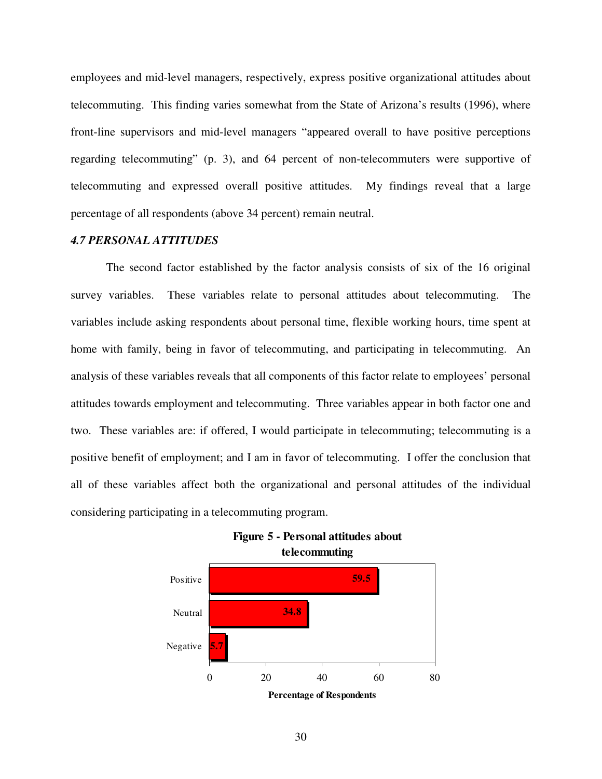employees and mid-level managers, respectively, express positive organizational attitudes about telecommuting. This finding varies somewhat from the State of Arizona's results (1996), where front-line supervisors and mid-level managers "appeared overall to have positive perceptions regarding telecommuting" (p. 3), and 64 percent of non-telecommuters were supportive of telecommuting and expressed overall positive attitudes. My findings reveal that a large percentage of all respondents (above 34 percent) remain neutral.

#### *4.7 PERSONAL ATTITUDES*

 The second factor established by the factor analysis consists of six of the 16 original survey variables. These variables relate to personal attitudes about telecommuting. The variables include asking respondents about personal time, flexible working hours, time spent at home with family, being in favor of telecommuting, and participating in telecommuting. An analysis of these variables reveals that all components of this factor relate to employees' personal attitudes towards employment and telecommuting. Three variables appear in both factor one and two. These variables are: if offered, I would participate in telecommuting; telecommuting is a positive benefit of employment; and I am in favor of telecommuting. I offer the conclusion that all of these variables affect both the organizational and personal attitudes of the individual considering participating in a telecommuting program.





<sup>30</sup>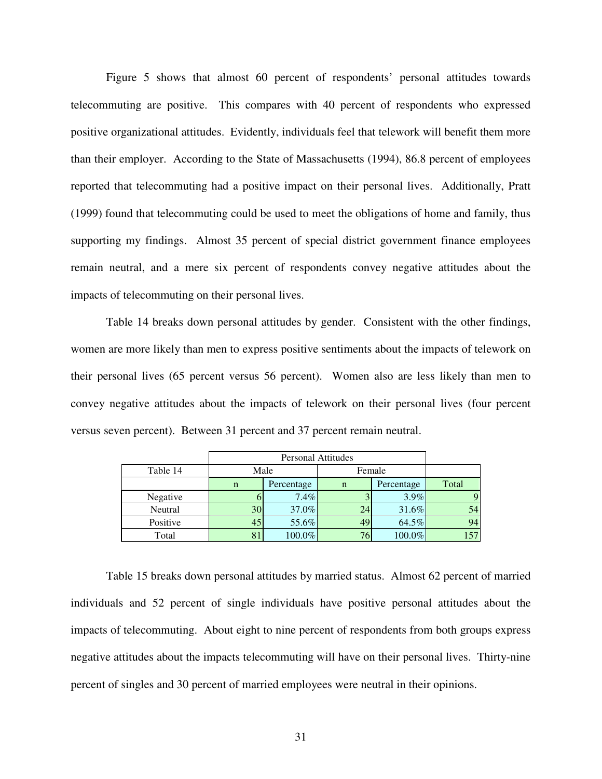Figure 5 shows that almost 60 percent of respondents' personal attitudes towards telecommuting are positive. This compares with 40 percent of respondents who expressed positive organizational attitudes. Evidently, individuals feel that telework will benefit them more than their employer. According to the State of Massachusetts (1994), 86.8 percent of employees reported that telecommuting had a positive impact on their personal lives. Additionally, Pratt (1999) found that telecommuting could be used to meet the obligations of home and family, thus supporting my findings. Almost 35 percent of special district government finance employees remain neutral, and a mere six percent of respondents convey negative attitudes about the impacts of telecommuting on their personal lives.

Table 14 breaks down personal attitudes by gender. Consistent with the other findings, women are more likely than men to express positive sentiments about the impacts of telework on their personal lives (65 percent versus 56 percent). Women also are less likely than men to convey negative attitudes about the impacts of telework on their personal lives (four percent versus seven percent). Between 31 percent and 37 percent remain neutral.

|          |             | <b>Personal Attitudes</b> |             |            |       |  |  |  |  |  |  |
|----------|-------------|---------------------------|-------------|------------|-------|--|--|--|--|--|--|
| Table 14 |             | Male                      |             | Female     |       |  |  |  |  |  |  |
|          | $\mathbf n$ | Percentage                | $\mathbf n$ | Percentage | Total |  |  |  |  |  |  |
| Negative |             | $7.4\%$                   |             | $3.9\%$    | 9     |  |  |  |  |  |  |
| Neutral  | 30          | 37.0%                     | 24          | 31.6%      | 54    |  |  |  |  |  |  |
| Positive | 45          | 55.6%                     | 49          | 64.5%      | 94    |  |  |  |  |  |  |
| Total    | 81          | 100.0%                    |             | $100.0\%$  | 157   |  |  |  |  |  |  |

Table 15 breaks down personal attitudes by married status. Almost 62 percent of married individuals and 52 percent of single individuals have positive personal attitudes about the impacts of telecommuting. About eight to nine percent of respondents from both groups express negative attitudes about the impacts telecommuting will have on their personal lives. Thirty-nine percent of singles and 30 percent of married employees were neutral in their opinions.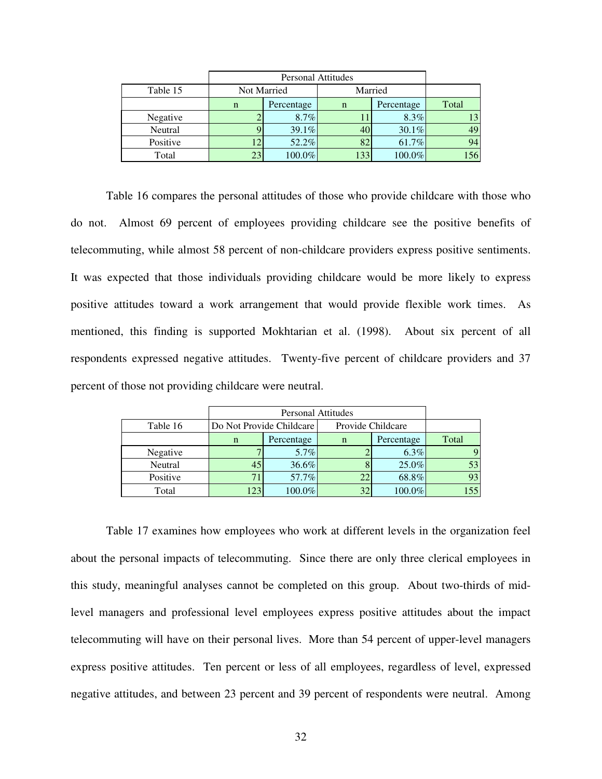| Table 15 |    | Not Married | Married     |            |       |
|----------|----|-------------|-------------|------------|-------|
|          | n  | Percentage  | $\mathbf n$ | Percentage | Total |
| Negative |    | $8.7\%$     |             | $8.3\%$    | 13    |
| Neutral  |    | 39.1%       | 40          | 30.1%      | 49    |
| Positive | 12 | 52.2%       | 82          | 61.7%      | 94    |
| Total    | 23 | 100.0%      | 133         | $100.0\%$  | 156   |

 Table 16 compares the personal attitudes of those who provide childcare with those who do not. Almost 69 percent of employees providing childcare see the positive benefits of telecommuting, while almost 58 percent of non-childcare providers express positive sentiments. It was expected that those individuals providing childcare would be more likely to express positive attitudes toward a work arrangement that would provide flexible work times. As mentioned, this finding is supported Mokhtarian et al. (1998). About six percent of all respondents expressed negative attitudes. Twenty-five percent of childcare providers and 37 percent of those not providing childcare were neutral.

|          |             | <b>Personal Attitudes</b> |             |                   |       |  |  |  |  |  |
|----------|-------------|---------------------------|-------------|-------------------|-------|--|--|--|--|--|
| Table 16 |             | Do Not Provide Childcare  |             | Provide Childcare |       |  |  |  |  |  |
|          | $\mathbf n$ | Percentage                | $\mathbf n$ | Percentage        | Total |  |  |  |  |  |
| Negative |             | $5.7\%$                   |             | $6.3\%$           | 9     |  |  |  |  |  |
| Neutral  | 45          | 36.6%                     |             | 25.0%             | 53    |  |  |  |  |  |
| Positive |             | 57.7%                     |             | 68.8%             | 93    |  |  |  |  |  |
| Total    | 123         | 100.0%                    | 32          | 100.0%            | 155   |  |  |  |  |  |

Table 17 examines how employees who work at different levels in the organization feel about the personal impacts of telecommuting. Since there are only three clerical employees in this study, meaningful analyses cannot be completed on this group. About two-thirds of midlevel managers and professional level employees express positive attitudes about the impact telecommuting will have on their personal lives. More than 54 percent of upper-level managers express positive attitudes. Ten percent or less of all employees, regardless of level, expressed negative attitudes, and between 23 percent and 39 percent of respondents were neutral. Among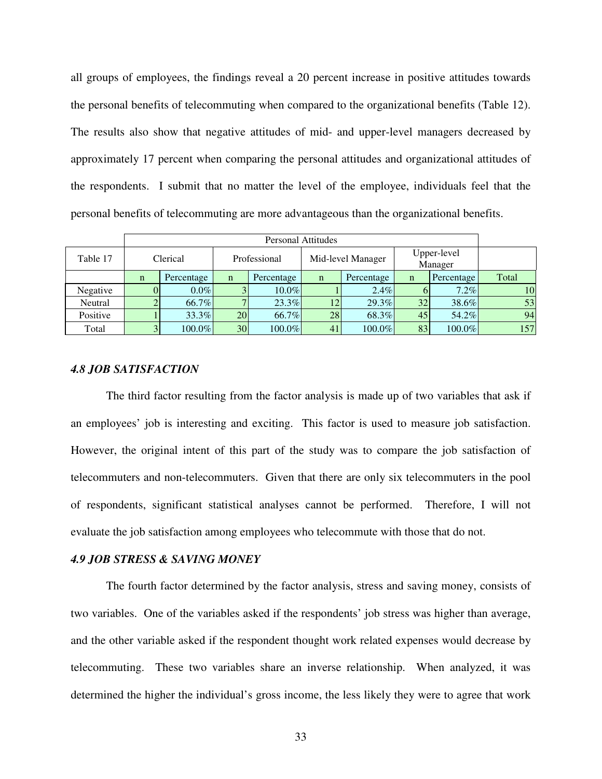all groups of employees, the findings reveal a 20 percent increase in positive attitudes towards the personal benefits of telecommuting when compared to the organizational benefits (Table 12). The results also show that negative attitudes of mid- and upper-level managers decreased by approximately 17 percent when comparing the personal attitudes and organizational attitudes of the respondents. I submit that no matter the level of the employee, individuals feel that the personal benefits of telecommuting are more advantageous than the organizational benefits.

|          |             | <b>Personal Attitudes</b> |                 |            |                   |            |                        |            |       |  |
|----------|-------------|---------------------------|-----------------|------------|-------------------|------------|------------------------|------------|-------|--|
| Table 17 | Clerical    |                           | Professional    |            | Mid-level Manager |            | Upper-level<br>Manager |            |       |  |
|          | $\mathbf n$ | Percentage                | $\mathbf n$     | Percentage | $\mathbf n$       | Percentage | n                      | Percentage | Total |  |
| Negative | U           | $0.0\%$                   | 3               | $10.0\%$   |                   | $2.4\%$    |                        | $7.2\%$    | 10    |  |
| Neutral  |             | 66.7%                     | $\mathbf{r}$    | 23.3%      | 12                | 29.3%      | 32                     | 38.6%      | 53    |  |
| Positive |             | $33.3\%$                  | 20              | 66.7%      | 28                | 68.3%      | 45                     | 54.2%      | 94    |  |
| Total    |             | 100.0%                    | 30 <sup>°</sup> | 100.0%     | 41                | 100.0%     | 83                     | 100.0%     | 157   |  |

#### *4.8 JOB SATISFACTION*

 The third factor resulting from the factor analysis is made up of two variables that ask if an employees' job is interesting and exciting. This factor is used to measure job satisfaction. However, the original intent of this part of the study was to compare the job satisfaction of telecommuters and non-telecommuters. Given that there are only six telecommuters in the pool of respondents, significant statistical analyses cannot be performed. Therefore, I will not evaluate the job satisfaction among employees who telecommute with those that do not.

#### *4.9 JOB STRESS & SAVING MONEY*

 The fourth factor determined by the factor analysis, stress and saving money, consists of two variables. One of the variables asked if the respondents' job stress was higher than average, and the other variable asked if the respondent thought work related expenses would decrease by telecommuting. These two variables share an inverse relationship. When analyzed, it was determined the higher the individual's gross income, the less likely they were to agree that work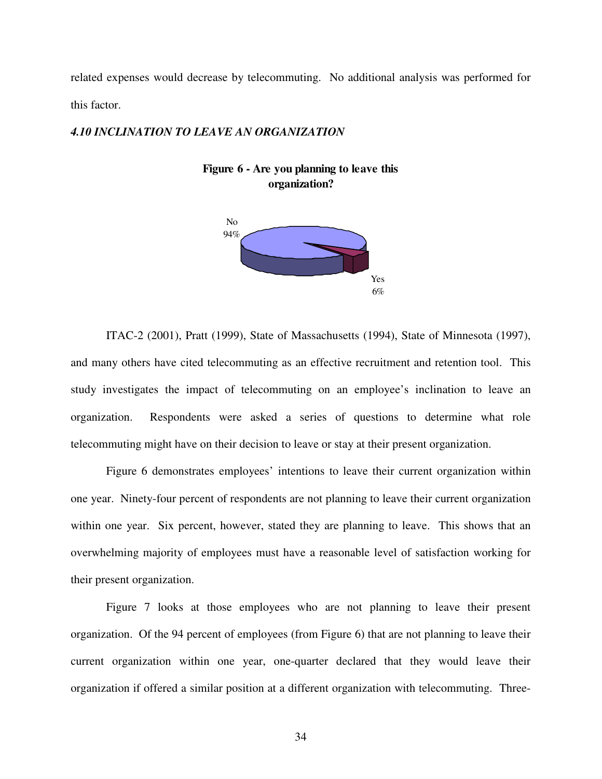related expenses would decrease by telecommuting. No additional analysis was performed for this factor.

#### *4.10 INCLINATION TO LEAVE AN ORGANIZATION*





ITAC-2 (2001), Pratt (1999), State of Massachusetts (1994), State of Minnesota (1997), and many others have cited telecommuting as an effective recruitment and retention tool. This study investigates the impact of telecommuting on an employee's inclination to leave an organization. Respondents were asked a series of questions to determine what role telecommuting might have on their decision to leave or stay at their present organization.

 Figure 6 demonstrates employees' intentions to leave their current organization within one year. Ninety-four percent of respondents are not planning to leave their current organization within one year. Six percent, however, stated they are planning to leave. This shows that an overwhelming majority of employees must have a reasonable level of satisfaction working for their present organization.

 Figure 7 looks at those employees who are not planning to leave their present organization. Of the 94 percent of employees (from Figure 6) that are not planning to leave their current organization within one year, one-quarter declared that they would leave their organization if offered a similar position at a different organization with telecommuting. Three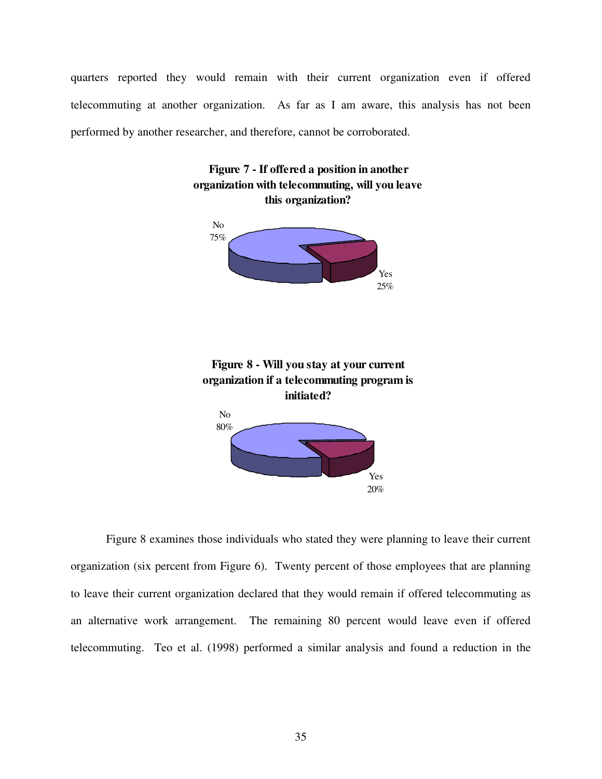quarters reported they would remain with their current organization even if offered telecommuting at another organization. As far as I am aware, this analysis has not been performed by another researcher, and therefore, cannot be corroborated.



Figure 8 examines those individuals who stated they were planning to leave their current organization (six percent from Figure 6). Twenty percent of those employees that are planning to leave their current organization declared that they would remain if offered telecommuting as an alternative work arrangement. The remaining 80 percent would leave even if offered telecommuting. Teo et al. (1998) performed a similar analysis and found a reduction in the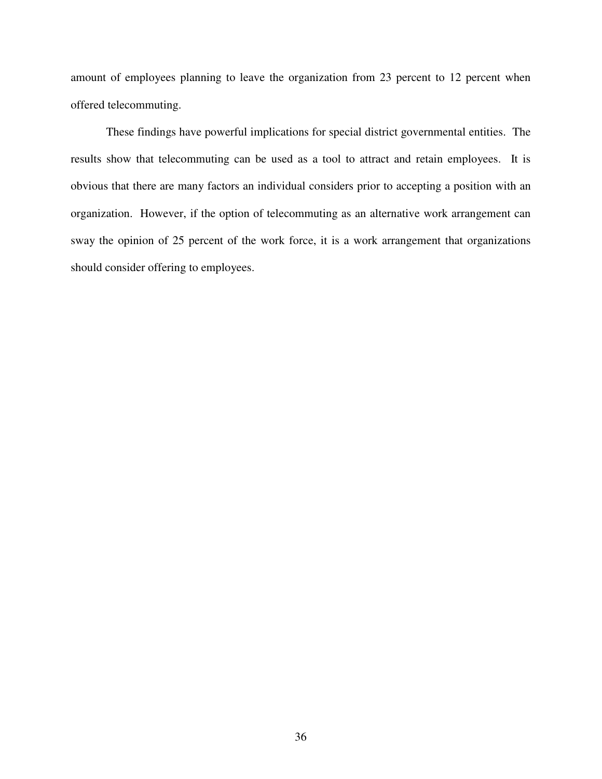amount of employees planning to leave the organization from 23 percent to 12 percent when offered telecommuting.

These findings have powerful implications for special district governmental entities. The results show that telecommuting can be used as a tool to attract and retain employees. It is obvious that there are many factors an individual considers prior to accepting a position with an organization. However, if the option of telecommuting as an alternative work arrangement can sway the opinion of 25 percent of the work force, it is a work arrangement that organizations should consider offering to employees.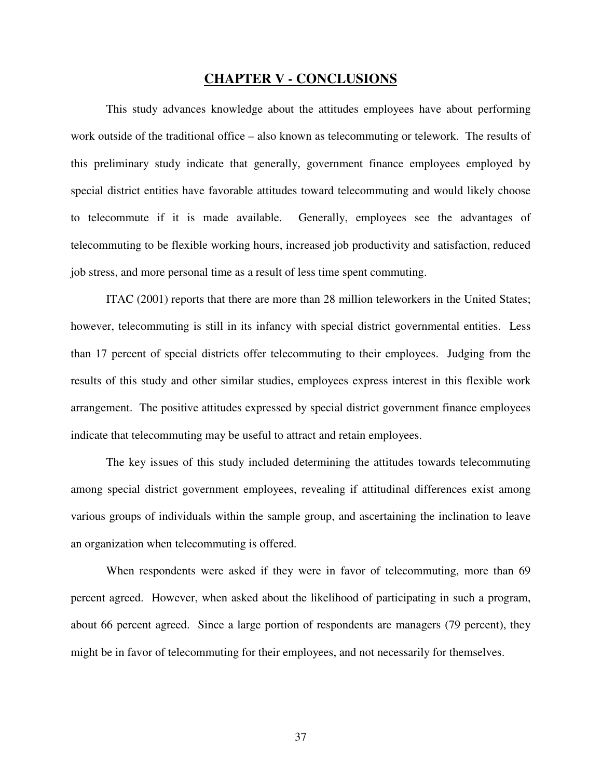# **CHAPTER V - CONCLUSIONS**

This study advances knowledge about the attitudes employees have about performing work outside of the traditional office – also known as telecommuting or telework. The results of this preliminary study indicate that generally, government finance employees employed by special district entities have favorable attitudes toward telecommuting and would likely choose to telecommute if it is made available. Generally, employees see the advantages of telecommuting to be flexible working hours, increased job productivity and satisfaction, reduced job stress, and more personal time as a result of less time spent commuting.

ITAC (2001) reports that there are more than 28 million teleworkers in the United States; however, telecommuting is still in its infancy with special district governmental entities. Less than 17 percent of special districts offer telecommuting to their employees. Judging from the results of this study and other similar studies, employees express interest in this flexible work arrangement. The positive attitudes expressed by special district government finance employees indicate that telecommuting may be useful to attract and retain employees.

The key issues of this study included determining the attitudes towards telecommuting among special district government employees, revealing if attitudinal differences exist among various groups of individuals within the sample group, and ascertaining the inclination to leave an organization when telecommuting is offered.

When respondents were asked if they were in favor of telecommuting, more than 69 percent agreed. However, when asked about the likelihood of participating in such a program, about 66 percent agreed. Since a large portion of respondents are managers (79 percent), they might be in favor of telecommuting for their employees, and not necessarily for themselves.

37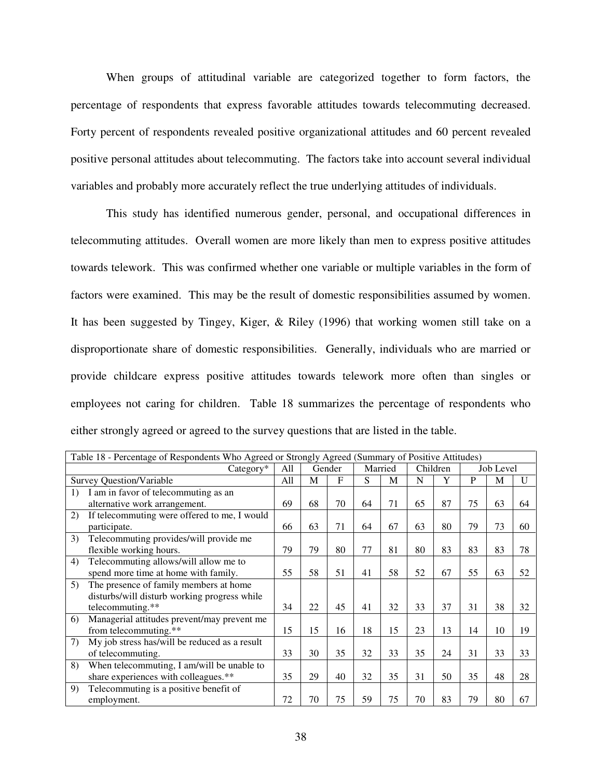When groups of attitudinal variable are categorized together to form factors, the percentage of respondents that express favorable attitudes towards telecommuting decreased. Forty percent of respondents revealed positive organizational attitudes and 60 percent revealed positive personal attitudes about telecommuting. The factors take into account several individual variables and probably more accurately reflect the true underlying attitudes of individuals.

This study has identified numerous gender, personal, and occupational differences in telecommuting attitudes. Overall women are more likely than men to express positive attitudes towards telework. This was confirmed whether one variable or multiple variables in the form of factors were examined. This may be the result of domestic responsibilities assumed by women. It has been suggested by Tingey, Kiger, & Riley (1996) that working women still take on a disproportionate share of domestic responsibilities. Generally, individuals who are married or provide childcare express positive attitudes towards telework more often than singles or employees not caring for children. Table 18 summarizes the percentage of respondents who either strongly agreed or agreed to the survey questions that are listed in the table.

| Table 18 - Percentage of Respondents Who Agreed or Strongly Agreed (Summary of Positive Attitudes) |                                               |               |    |              |    |          |    |           |    |    |    |
|----------------------------------------------------------------------------------------------------|-----------------------------------------------|---------------|----|--------------|----|----------|----|-----------|----|----|----|
|                                                                                                    | $Category*$                                   | All<br>Gender |    | Married      |    | Children |    | Job Level |    |    |    |
|                                                                                                    | <b>Survey Question/Variable</b>               | All           | M  | $\mathbf{F}$ | S  | M        | N  | Y         | P  | M  | U  |
| 1)                                                                                                 | I am in favor of telecommuting as an          |               |    |              |    |          |    |           |    |    |    |
|                                                                                                    | alternative work arrangement.                 | 69            | 68 | 70           | 64 | 71       | 65 | 87        | 75 | 63 | 64 |
| 2)                                                                                                 | If telecommuting were offered to me, I would  |               |    |              |    |          |    |           |    |    |    |
|                                                                                                    | participate.                                  | 66            | 63 | 71           | 64 | 67       | 63 | 80        | 79 | 73 | 60 |
| 3)                                                                                                 | Telecommuting provides/will provide me        |               |    |              |    |          |    |           |    |    |    |
|                                                                                                    | flexible working hours.                       | 79            | 79 | 80           | 77 | 81       | 80 | 83        | 83 | 83 | 78 |
| 4)                                                                                                 | Telecommuting allows/will allow me to         |               |    |              |    |          |    |           |    |    |    |
|                                                                                                    | spend more time at home with family.          | 55            | 58 | 51           | 41 | 58       | 52 | 67        | 55 | 63 | 52 |
| 5)                                                                                                 | The presence of family members at home        |               |    |              |    |          |    |           |    |    |    |
|                                                                                                    | disturbs/will disturb working progress while  |               |    |              |    |          |    |           |    |    |    |
|                                                                                                    | telecommuting.**                              | 34            | 22 | 45           | 41 | 32       | 33 | 37        | 31 | 38 | 32 |
| 6)                                                                                                 | Managerial attitudes prevent/may prevent me   |               |    |              |    |          |    |           |    |    |    |
|                                                                                                    | from telecommuting.**                         | 15            | 15 | 16           | 18 | 15       | 23 | 13        | 14 | 10 | 19 |
| 7)                                                                                                 | My job stress has/will be reduced as a result |               |    |              |    |          |    |           |    |    |    |
|                                                                                                    | of telecommuting.                             | 33            | 30 | 35           | 32 | 33       | 35 | 24        | 31 | 33 | 33 |
| 8)                                                                                                 | When telecommuting, I am/will be unable to    |               |    |              |    |          |    |           |    |    |    |
|                                                                                                    | share experiences with colleagues.**          | 35            | 29 | 40           | 32 | 35       | 31 | 50        | 35 | 48 | 28 |
| 9)                                                                                                 | Telecommuting is a positive benefit of        |               |    |              |    |          |    |           |    |    |    |
|                                                                                                    | employment.                                   | 72            | 70 | 75           | 59 | 75       | 70 | 83        | 79 | 80 | 67 |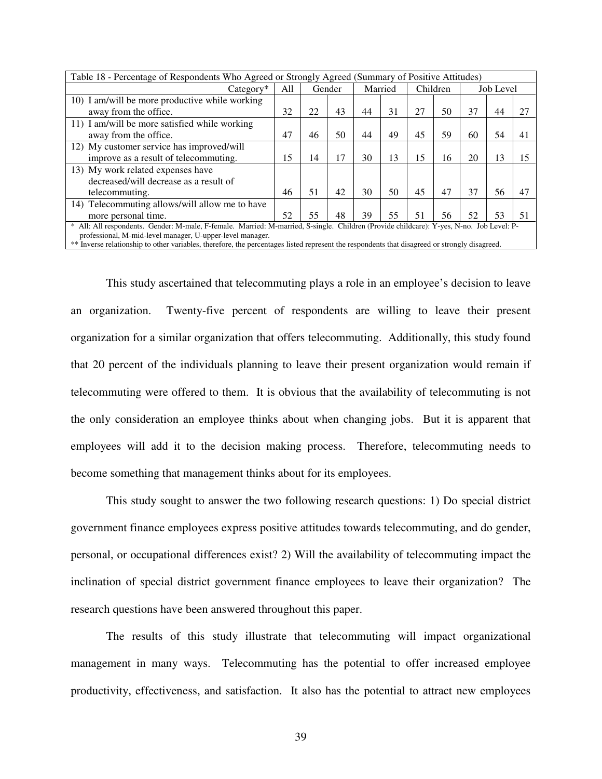|                                                                                                                                               | Table 18 - Percentage of Respondents Who Agreed or Strongly Agreed (Summary of Positive Attitudes) |    |        |    |         |    |          |    |           |    |
|-----------------------------------------------------------------------------------------------------------------------------------------------|----------------------------------------------------------------------------------------------------|----|--------|----|---------|----|----------|----|-----------|----|
| $Category*$                                                                                                                                   | All                                                                                                |    | Gender |    | Married |    | Children |    | Job Level |    |
| 10) I am/will be more productive while working                                                                                                |                                                                                                    |    |        |    |         |    |          |    |           |    |
| away from the office.                                                                                                                         | 32                                                                                                 | 22 | 43     | 44 | 31      | 27 | 50       | 37 | 44        |    |
| 11) I am/will be more satisfied while working                                                                                                 |                                                                                                    |    |        |    |         |    |          |    |           |    |
| away from the office.                                                                                                                         | 47                                                                                                 | 46 | 50     | 44 | 49      | 45 | 59       | 60 | 54        | 41 |
| 12) My customer service has improved/will                                                                                                     |                                                                                                    |    |        |    |         |    |          |    |           |    |
| improve as a result of telecommuting.                                                                                                         | 15                                                                                                 | 14 | 17     | 30 | 13      | 15 | 16       | 20 | 13        | 15 |
| 13) My work related expenses have                                                                                                             |                                                                                                    |    |        |    |         |    |          |    |           |    |
| decreased/will decrease as a result of                                                                                                        |                                                                                                    |    |        |    |         |    |          |    |           |    |
| telecommuting.                                                                                                                                | 46                                                                                                 | 51 | 42     | 30 | 50      | 45 | 47       | 37 | 56        |    |
| 14) Telecommuting allows/will allow me to have                                                                                                |                                                                                                    |    |        |    |         |    |          |    |           |    |
| more personal time.                                                                                                                           | 52.                                                                                                | 55 | 48     | 39 | 55      | 51 | 56       | 52 | 53        | 51 |
| All: All respondents. Gender: M-male, F-female. Married: M-married, S-single. Children (Provide childcare): Y-yes, N-no. Job Level: P-        |                                                                                                    |    |        |    |         |    |          |    |           |    |
| professional, M-mid-level manager, U-upper-level manager.                                                                                     |                                                                                                    |    |        |    |         |    |          |    |           |    |
| ** Inverse relationship to other variables, therefore, the percentages listed represent the respondents that disagreed or strongly disagreed. |                                                                                                    |    |        |    |         |    |          |    |           |    |

This study ascertained that telecommuting plays a role in an employee's decision to leave an organization. Twenty-five percent of respondents are willing to leave their present organization for a similar organization that offers telecommuting. Additionally, this study found that 20 percent of the individuals planning to leave their present organization would remain if telecommuting were offered to them. It is obvious that the availability of telecommuting is not the only consideration an employee thinks about when changing jobs. But it is apparent that employees will add it to the decision making process. Therefore, telecommuting needs to become something that management thinks about for its employees.

This study sought to answer the two following research questions: 1) Do special district government finance employees express positive attitudes towards telecommuting, and do gender, personal, or occupational differences exist? 2) Will the availability of telecommuting impact the inclination of special district government finance employees to leave their organization? The research questions have been answered throughout this paper.

The results of this study illustrate that telecommuting will impact organizational management in many ways. Telecommuting has the potential to offer increased employee productivity, effectiveness, and satisfaction. It also has the potential to attract new employees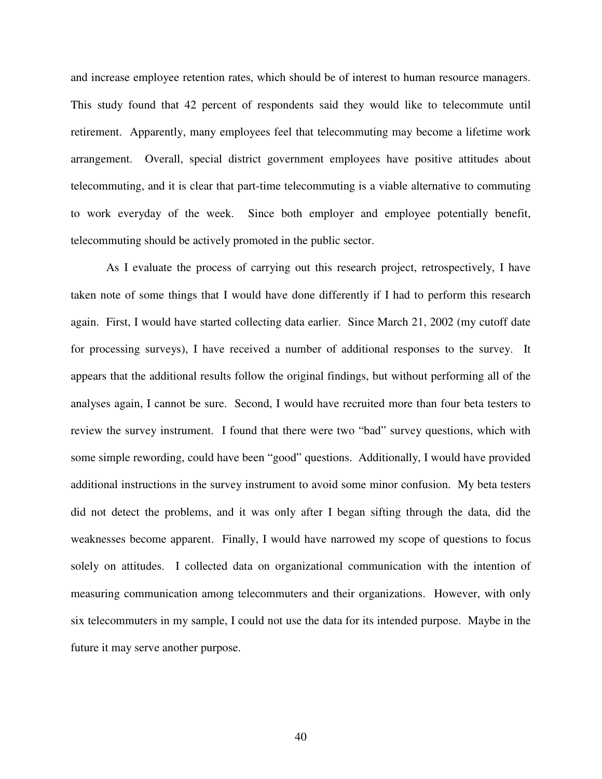and increase employee retention rates, which should be of interest to human resource managers. This study found that 42 percent of respondents said they would like to telecommute until retirement. Apparently, many employees feel that telecommuting may become a lifetime work arrangement. Overall, special district government employees have positive attitudes about telecommuting, and it is clear that part-time telecommuting is a viable alternative to commuting to work everyday of the week. Since both employer and employee potentially benefit, telecommuting should be actively promoted in the public sector.

As I evaluate the process of carrying out this research project, retrospectively, I have taken note of some things that I would have done differently if I had to perform this research again. First, I would have started collecting data earlier. Since March 21, 2002 (my cutoff date for processing surveys), I have received a number of additional responses to the survey. It appears that the additional results follow the original findings, but without performing all of the analyses again, I cannot be sure. Second, I would have recruited more than four beta testers to review the survey instrument. I found that there were two "bad" survey questions, which with some simple rewording, could have been "good" questions. Additionally, I would have provided additional instructions in the survey instrument to avoid some minor confusion. My beta testers did not detect the problems, and it was only after I began sifting through the data, did the weaknesses become apparent. Finally, I would have narrowed my scope of questions to focus solely on attitudes. I collected data on organizational communication with the intention of measuring communication among telecommuters and their organizations. However, with only six telecommuters in my sample, I could not use the data for its intended purpose. Maybe in the future it may serve another purpose.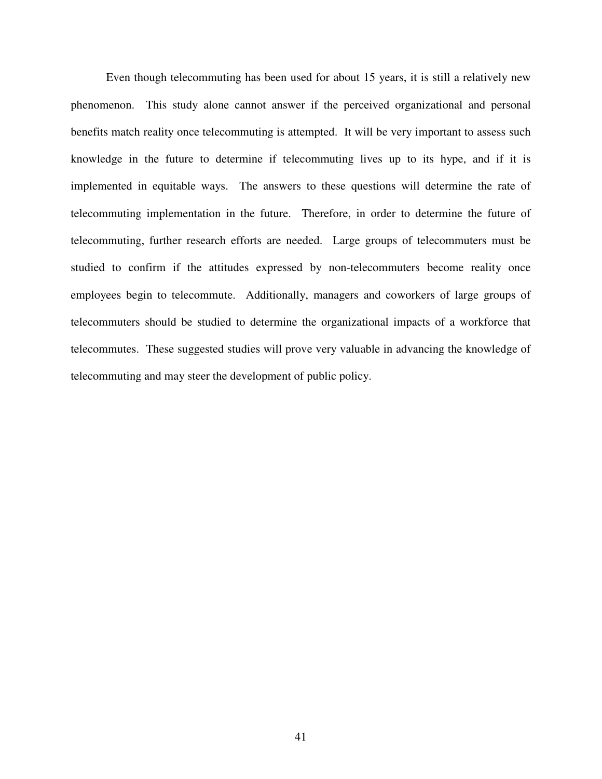Even though telecommuting has been used for about 15 years, it is still a relatively new phenomenon. This study alone cannot answer if the perceived organizational and personal benefits match reality once telecommuting is attempted. It will be very important to assess such knowledge in the future to determine if telecommuting lives up to its hype, and if it is implemented in equitable ways. The answers to these questions will determine the rate of telecommuting implementation in the future. Therefore, in order to determine the future of telecommuting, further research efforts are needed. Large groups of telecommuters must be studied to confirm if the attitudes expressed by non-telecommuters become reality once employees begin to telecommute. Additionally, managers and coworkers of large groups of telecommuters should be studied to determine the organizational impacts of a workforce that telecommutes. These suggested studies will prove very valuable in advancing the knowledge of telecommuting and may steer the development of public policy.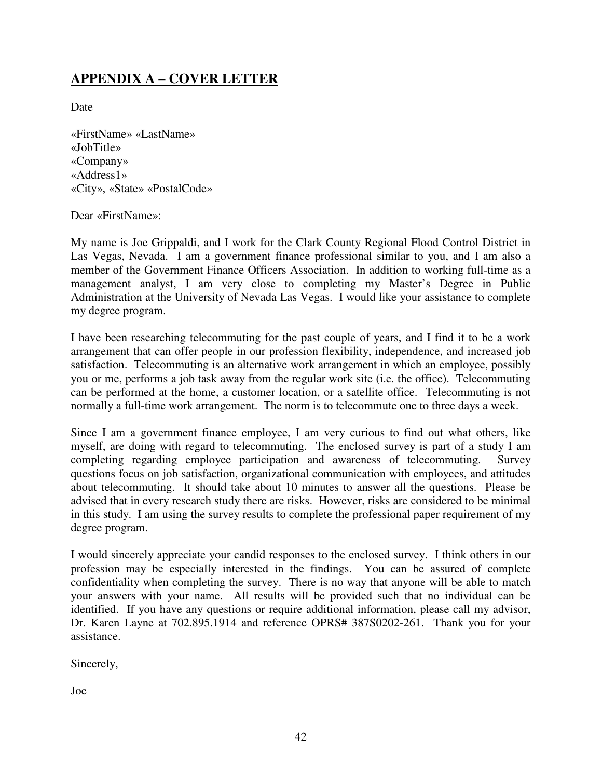# **APPENDIX A – COVER LETTER**

Date

«FirstName» «LastName» «JobTitle» «Company» «Address1» «City», «State» «PostalCode»

## Dear «FirstName»:

My name is Joe Grippaldi, and I work for the Clark County Regional Flood Control District in Las Vegas, Nevada. I am a government finance professional similar to you, and I am also a member of the Government Finance Officers Association. In addition to working full-time as a management analyst, I am very close to completing my Master's Degree in Public Administration at the University of Nevada Las Vegas. I would like your assistance to complete my degree program.

I have been researching telecommuting for the past couple of years, and I find it to be a work arrangement that can offer people in our profession flexibility, independence, and increased job satisfaction. Telecommuting is an alternative work arrangement in which an employee, possibly you or me, performs a job task away from the regular work site (i.e. the office). Telecommuting can be performed at the home, a customer location, or a satellite office. Telecommuting is not normally a full-time work arrangement. The norm is to telecommute one to three days a week.

Since I am a government finance employee, I am very curious to find out what others, like myself, are doing with regard to telecommuting. The enclosed survey is part of a study I am completing regarding employee participation and awareness of telecommuting. Survey questions focus on job satisfaction, organizational communication with employees, and attitudes about telecommuting. It should take about 10 minutes to answer all the questions. Please be advised that in every research study there are risks. However, risks are considered to be minimal in this study. I am using the survey results to complete the professional paper requirement of my degree program.

I would sincerely appreciate your candid responses to the enclosed survey. I think others in our profession may be especially interested in the findings. You can be assured of complete confidentiality when completing the survey. There is no way that anyone will be able to match your answers with your name. All results will be provided such that no individual can be identified. If you have any questions or require additional information, please call my advisor, Dr. Karen Layne at 702.895.1914 and reference OPRS# 387S0202-261. Thank you for your assistance.

Sincerely,

Joe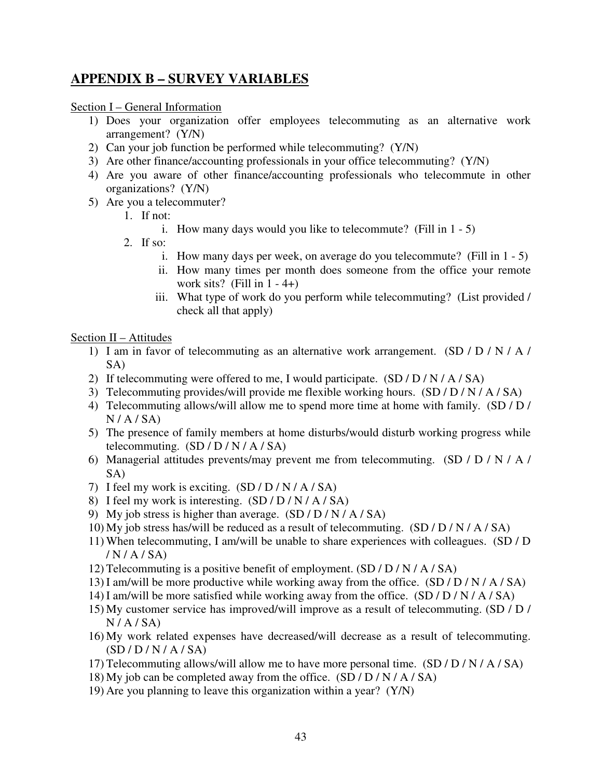# **APPENDIX B – SURVEY VARIABLES**

Section I – General Information

- 1) Does your organization offer employees telecommuting as an alternative work arrangement? (Y/N)
- 2) Can your job function be performed while telecommuting? (Y/N)
- 3) Are other finance/accounting professionals in your office telecommuting? (Y/N)
- 4) Are you aware of other finance/accounting professionals who telecommute in other organizations? (Y/N)
- 5) Are you a telecommuter?
	- 1. If not:
		- i. How many days would you like to telecommute? (Fill in 1 5)
	- 2. If so:
		- i. How many days per week, on average do you telecommute? (Fill in 1 5)
		- ii. How many times per month does someone from the office your remote work sits? (Fill in  $1 - 4$ +)
		- iii. What type of work do you perform while telecommuting? (List provided / check all that apply)

## Section II – Attitudes

- 1) I am in favor of telecommuting as an alternative work arrangement. (SD / D / N / A / SA)
- 2) If telecommuting were offered to me, I would participate.  $(SD/D/N/A/SA)$
- 3) Telecommuting provides/will provide me flexible working hours. (SD / D / N / A / SA)
- 4) Telecommuting allows/will allow me to spend more time at home with family. (SD / D /  $N / A / SA$
- 5) The presence of family members at home disturbs/would disturb working progress while telecommuting.  $(SD/D/N/A/SA)$
- 6) Managerial attitudes prevents/may prevent me from telecommuting. (SD / D / N / A / SA)
- 7) I feel my work is exciting. (SD / D / N / A / SA)
- 8) I feel my work is interesting. (SD / D / N / A / SA)
- 9) My job stress is higher than average.  $(SD/D/N/A/SA)$
- 10) My job stress has/will be reduced as a result of telecommuting. (SD / D / N / A / SA)
- 11) When telecommuting, I am/will be unable to share experiences with colleagues. (SD / D / N / A / SA)
- 12) Telecommuting is a positive benefit of employment. (SD / D / N / A / SA)
- 13) I am/will be more productive while working away from the office. (SD / D / N / A / SA)
- 14) I am/will be more satisfied while working away from the office. (SD / D / N / A / SA)
- 15) My customer service has improved/will improve as a result of telecommuting. (SD / D /  $N / A / SA$
- 16) My work related expenses have decreased/will decrease as a result of telecommuting.  $(SD/D/N/A/SA)$
- 17) Telecommuting allows/will allow me to have more personal time.  $(SD/D/N/A/SA)$
- 18) My job can be completed away from the office.  $(SD/D/N/A/SA)$
- 19) Are you planning to leave this organization within a year? (Y/N)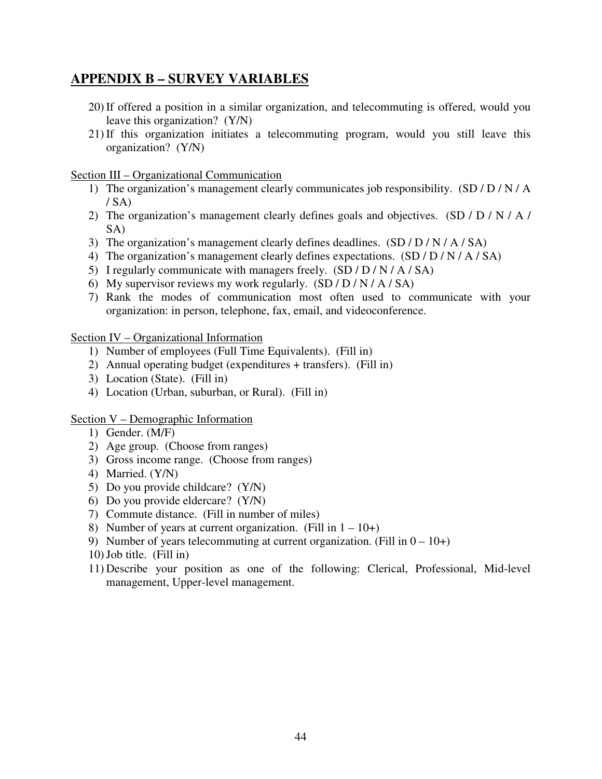# **APPENDIX B – SURVEY VARIABLES**

- 20) If offered a position in a similar organization, and telecommuting is offered, would you leave this organization? (Y/N)
- 21) If this organization initiates a telecommuting program, would you still leave this organization? (Y/N)

Section III – Organizational Communication

- 1) The organization's management clearly communicates job responsibility. (SD / D / N / A  $/$  SA)
- 2) The organization's management clearly defines goals and objectives. (SD / D / N / A / SA)
- 3) The organization's management clearly defines deadlines. (SD / D / N / A / SA)
- 4) The organization's management clearly defines expectations. (SD / D / N / A / SA)
- 5) I regularly communicate with managers freely.  $(SD/D/N/A/SA)$
- 6) My supervisor reviews my work regularly.  $(SD/D/N/A/SA)$
- 7) Rank the modes of communication most often used to communicate with your organization: in person, telephone, fax, email, and videoconference.

Section IV – Organizational Information

- 1) Number of employees (Full Time Equivalents). (Fill in)
- 2) Annual operating budget (expenditures + transfers). (Fill in)
- 3) Location (State). (Fill in)
- 4) Location (Urban, suburban, or Rural). (Fill in)

Section V – Demographic Information

- 1) Gender. (M/F)
- 2) Age group. (Choose from ranges)
- 3) Gross income range. (Choose from ranges)
- 4) Married. (Y/N)
- 5) Do you provide childcare? (Y/N)
- 6) Do you provide eldercare? (Y/N)
- 7) Commute distance. (Fill in number of miles)
- 8) Number of years at current organization. (Fill in  $1 10 +$ )
- 9) Number of years telecommuting at current organization. (Fill in  $0 10 +$ )
- 10)Job title. (Fill in)
- 11) Describe your position as one of the following: Clerical, Professional, Mid-level management, Upper-level management.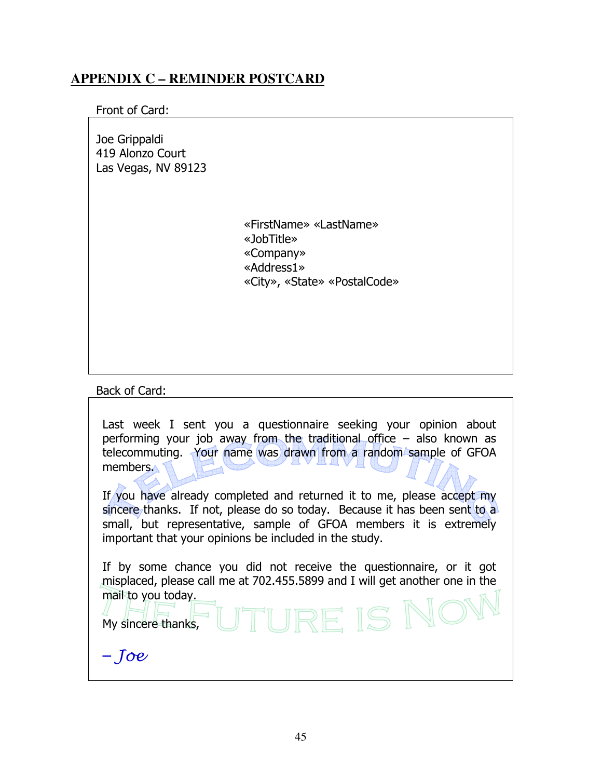# **APPENDIX C – REMINDER POSTCARD**

# Front of Card:

Joe Grippaldi 419 Alonzo Court Las Vegas, NV 89123

> «FirstName» «LastName» «JobTitle» «Company» «Address1» «City», «State» «PostalCode»

Back of Card:

| Last week I sent you a questionnaire seeking your opinion about<br>performing your job away from the traditional office $-$ also known as<br>telecommuting. Your name was drawn from a random sample of GFOA<br>members.<br>If you have already completed and returned it to me, please accept my<br>sincere thanks. If not, please do so today. Because it has been sent to a<br>small, but representative, sample of GFOA members it is extremely<br>important that your opinions be included in the study. |
|---------------------------------------------------------------------------------------------------------------------------------------------------------------------------------------------------------------------------------------------------------------------------------------------------------------------------------------------------------------------------------------------------------------------------------------------------------------------------------------------------------------|
| If by some chance you did not receive the questionnaire, or it got<br>misplaced, please call me at 702.455.5899 and I will get another one in the<br>mail to you today.<br>My sincere thanks, UTURE IS NO                                                                                                                                                                                                                                                                                                     |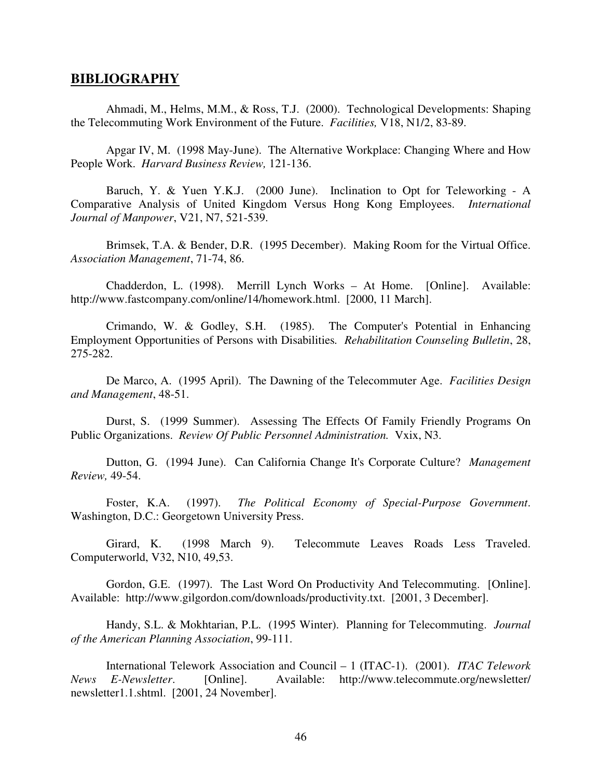#### **BIBLIOGRAPHY**

Ahmadi, M., Helms, M.M., & Ross, T.J. (2000). Technological Developments: Shaping the Telecommuting Work Environment of the Future. *Facilities,* V18, N1/2, 83-89.

Apgar IV, M. (1998 May-June). The Alternative Workplace: Changing Where and How People Work. *Harvard Business Review,* 121-136.

Baruch, Y. & Yuen Y.K.J. (2000 June). Inclination to Opt for Teleworking - A Comparative Analysis of United Kingdom Versus Hong Kong Employees. *International Journal of Manpower*, V21, N7, 521-539.

Brimsek, T.A. & Bender, D.R. (1995 December). Making Room for the Virtual Office. *Association Management*, 71-74, 86.

Chadderdon, L. (1998). Merrill Lynch Works – At Home. [Online]. Available: http://www.fastcompany.com/online/14/homework.html. [2000, 11 March].

Crimando, W. & Godley, S.H. (1985). The Computer's Potential in Enhancing Employment Opportunities of Persons with Disabilities*. Rehabilitation Counseling Bulletin*, 28, 275-282.

De Marco, A. (1995 April). The Dawning of the Telecommuter Age. *Facilities Design and Management*, 48-51.

Durst, S. (1999 Summer). Assessing The Effects Of Family Friendly Programs On Public Organizations. *Review Of Public Personnel Administration.* Vxix, N3.

Dutton, G. (1994 June). Can California Change It's Corporate Culture? *Management Review,* 49-54.

Foster, K.A. (1997). *The Political Economy of Special-Purpose Government*. Washington, D.C.: Georgetown University Press.

Girard, K. (1998 March 9). Telecommute Leaves Roads Less Traveled. Computerworld, V32, N10, 49,53.

Gordon, G.E. (1997). The Last Word On Productivity And Telecommuting. [Online]. Available: http://www.gilgordon.com/downloads/productivity.txt. [2001, 3 December].

Handy, S.L. & Mokhtarian, P.L. (1995 Winter). Planning for Telecommuting. *Journal of the American Planning Association*, 99-111.

International Telework Association and Council – 1 (ITAC-1). (2001). *ITAC Telework News E-Newsletter*. [Online]. Available: http://www.telecommute.org/newsletter/ newsletter1.1.shtml. [2001, 24 November].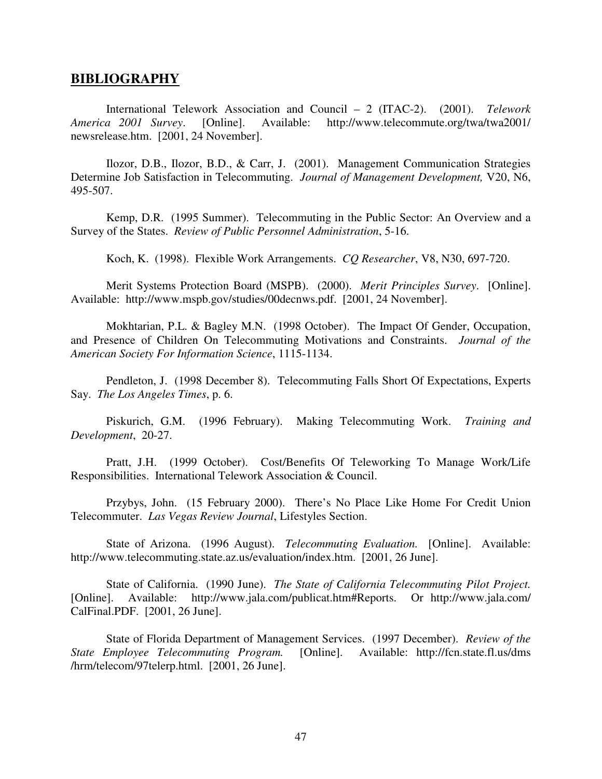#### **BIBLIOGRAPHY**

International Telework Association and Council – 2 (ITAC-2). (2001). *Telework America 2001 Survey*. [Online]. Available: http://www.telecommute.org/twa/twa2001/ newsrelease.htm. [2001, 24 November].

Ilozor, D.B., Ilozor, B.D., & Carr, J. (2001). Management Communication Strategies Determine Job Satisfaction in Telecommuting. *Journal of Management Development,* V20, N6, 495-507.

Kemp, D.R. (1995 Summer). Telecommuting in the Public Sector: An Overview and a Survey of the States. *Review of Public Personnel Administration*, 5-16.

Koch, K. (1998). Flexible Work Arrangements. *CQ Researcher*, V8, N30, 697-720.

Merit Systems Protection Board (MSPB). (2000). *Merit Principles Survey*. [Online]. Available: http://www.mspb.gov/studies/00decnws.pdf. [2001, 24 November].

Mokhtarian, P.L. & Bagley M.N. (1998 October). The Impact Of Gender, Occupation, and Presence of Children On Telecommuting Motivations and Constraints. *Journal of the American Society For Information Science*, 1115-1134.

Pendleton, J. (1998 December 8). Telecommuting Falls Short Of Expectations, Experts Say. *The Los Angeles Times*, p. 6.

Piskurich, G.M. (1996 February). Making Telecommuting Work. *Training and Development*, 20-27.

Pratt, J.H. (1999 October). Cost/Benefits Of Teleworking To Manage Work/Life Responsibilities. International Telework Association & Council.

Przybys, John. (15 February 2000). There's No Place Like Home For Credit Union Telecommuter. *Las Vegas Review Journal*, Lifestyles Section.

State of Arizona. (1996 August). *Telecommuting Evaluation.* [Online]. Available: http://www.telecommuting.state.az.us/evaluation/index.htm. [2001, 26 June].

State of California. (1990 June). *The State of California Telecommuting Pilot Project.* [Online]. Available: http://www.jala.com/publicat.htm#Reports. Or http://www.jala.com/ CalFinal.PDF. [2001, 26 June].

State of Florida Department of Management Services. (1997 December). *Review of the State Employee Telecommuting Program.* [Online]. Available: http://fcn.state.fl.us/dms /hrm/telecom/97telerp.html. [2001, 26 June].